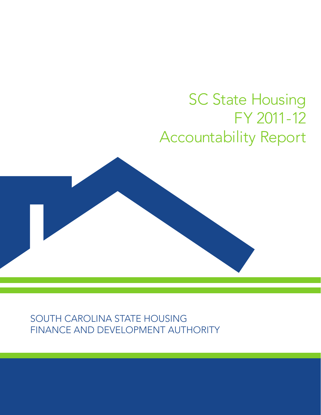# **SC State Housing** FY 2011-12 Accountability Report



south carolina state housing finance and development authority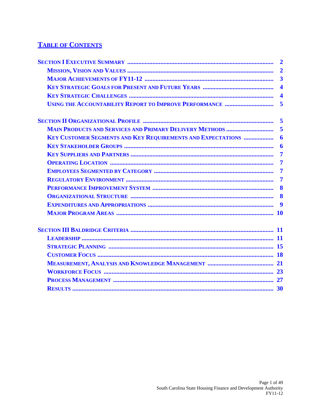## **TABLE OF CONTENTS**

|                                                                     | $\overline{2}$          |
|---------------------------------------------------------------------|-------------------------|
|                                                                     | $\overline{2}$          |
|                                                                     | $\overline{\mathbf{3}}$ |
|                                                                     |                         |
|                                                                     | $\overline{\mathbf{4}}$ |
|                                                                     | 5                       |
|                                                                     | $\overline{\mathbf{5}}$ |
| <b>MAIN PRODUCTS AND SERVICES AND PRIMARY DELIVERY METHODS </b>     | 5                       |
| <b>KEY CUSTOMER SEGMENTS AND KEY REQUIREMENTS AND EXPECTATIONS </b> | 6                       |
|                                                                     | 6                       |
|                                                                     | $\overline{7}$          |
|                                                                     | $\overline{7}$          |
|                                                                     | $\overline{7}$          |
|                                                                     | $\overline{7}$          |
|                                                                     | 8                       |
|                                                                     | 8                       |
|                                                                     | 9                       |
|                                                                     |                         |
|                                                                     |                         |
|                                                                     |                         |
|                                                                     |                         |
|                                                                     |                         |
|                                                                     |                         |
|                                                                     |                         |
|                                                                     |                         |
|                                                                     |                         |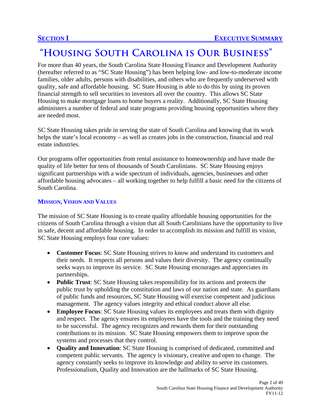## **"Housing South Carolina is Our Business"**

For more than 40 years, the South Carolina State Housing Finance and Development Authority (hereafter referred to as "SC State Housing") has been helping low- and low-to-moderate income families, older adults, persons with disabilities, and others who are frequently underserved with quality, safe and affordable housing. SC State Housing is able to do this by using its proven financial strength to sell securities to investors all over the country. This allows SC State Housing to make mortgage loans to home buyers a reality. Additionally, SC State Housing administers a number of federal and state programs providing housing opportunities where they are needed most.

SC State Housing takes pride in serving the state of South Carolina and knowing that its work helps the state's local economy – as well as creates jobs in the construction, financial and real estate industries.

Our programs offer opportunities from rental assistance to homeownership and have made the quality of life better for tens of thousands of South Carolinians. SC State Housing enjoys significant partnerships with a wide spectrum of individuals, agencies, businesses and other affordable housing advocates – all working together to help fulfill a basic need for the citizens of South Carolina.

#### **MISSION, VISION AND VALUES**

The mission of SC State Housing is to create quality affordable housing opportunities for the citizens of South Carolina through a vision that all South Carolinians have the opportunity to live in safe, decent and affordable housing. In order to accomplish its mission and fulfill its vision, SC State Housing employs four core values:

- **Customer Focus**: SC State Housing strives to know and understand its customers and their needs. It respects all persons and values their diversity. The agency continually seeks ways to improve its service. SC State Housing encourages and appreciates its partnerships.
- **Public Trust**: SC State Housing takes responsibility for its actions and protects the public trust by upholding the constitution and laws of our nation and state. As guardians of public funds and resources, SC State Housing will exercise competent and judicious management. The agency values integrity and ethical conduct above all else.
- **Employee Focus**: SC State Housing values its employees and treats them with dignity and respect. The agency ensures its employees have the tools and the training they need to be successful. The agency recognizes and rewards them for their outstanding contributions to its mission. SC State Housing empowers them to improve upon the systems and processes that they control.
- **Quality and Innovation**: SC State Housing is comprised of dedicated, committed and competent public servants. The agency is visionary, creative and open to change. The agency constantly seeks to improve its knowledge and ability to serve its customers. Professionalism, Quality and Innovation are the hallmarks of SC State Housing.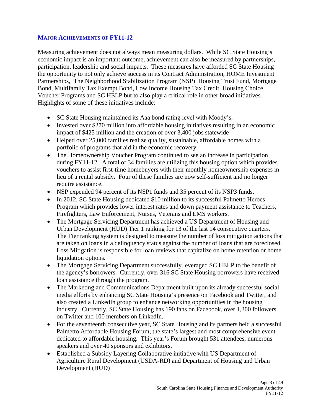#### **MAJOR ACHIEVEMENTS OF FY11-12**

Measuring achievement does not always mean measuring dollars. While SC State Housing's economic impact is an important outcome, achievement can also be measured by partnerships, participation, leadership and social impacts. These measures have afforded SC State Housing the opportunity to not only achieve success in its Contract Administration, HOME Investment Partnerships, The Neighborhood Stabilization Program (NSP) Housing Trust Fund, Mortgage Bond, Multifamily Tax Exempt Bond, Low Income Housing Tax Credit, Housing Choice Voucher Programs and SC HELP but to also play a critical role in other broad initiatives. Highlights of some of these initiatives include:

- SC State Housing maintained its Aaa bond rating level with Moody's.
- Invested over \$270 million into affordable housing initiatives resulting in an economic impact of \$425 million and the creation of over 3,400 jobs statewide
- Helped over 25,000 families realize quality, sustainable, affordable homes with a portfolio of programs that aid in the economic recovery
- The Homeownership Voucher Program continued to see an increase in participation during FY11-12. A total of 34 families are utilizing this housing option which provides vouchers to assist first-time homebuyers with their monthly homeownership expenses in lieu of a rental subsidy. Four of these families are now self-sufficient and no longer require assistance.
- NSP expended 94 percent of its NSP1 funds and 35 percent of its NSP3 funds.
- In 2012, SC State Housing dedicated \$10 million to its successful Palmetto Heroes Program which provides lower interest rates and down payment assistance to Teachers, Firefighters, Law Enforcement, Nurses, Veterans and EMS workers.
- The Mortgage Servicing Department has achieved a US Department of Housing and Urban Development (HUD) Tier 1 ranking for 13 of the last 14 consecutive quarters. The Tier ranking system is designed to measure the number of loss mitigation actions that are taken on loans in a delinquency status against the number of loans that are foreclosed. Loss Mitigation is responsible for loan reviews that capitalize on home retention or home liquidation options.
- The Mortgage Servicing Department successfully leveraged SC HELP to the benefit of the agency's borrowers. Currently, over 316 SC State Housing borrowers have received loan assistance through the program.
- The Marketing and Communications Department built upon its already successful social media efforts by enhancing SC State Housing's presence on Facebook and Twitter, and also created a LinkedIn group to enhance networking opportunities in the housing industry. Currently, SC State Housing has 190 fans on Facebook, over 1,300 followers on Twitter and 100 members on LinkedIn.
- For the seventeenth consecutive year, SC State Housing and its partners held a successful Palmetto Affordable Housing Forum, the state's largest and most comprehensive event dedicated to affordable housing. This year's Forum brought 531 attendees, numerous speakers and over 40 sponsors and exhibitors.
- Established a Subsidy Layering Collaborative initiative with US Department of Agriculture Rural Development (USDA-RD) and Department of Housing and Urban Development (HUD)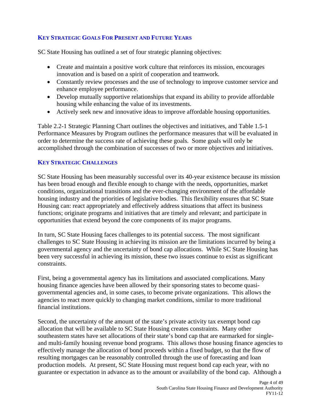### **KEY STRATEGIC GOALS FOR PRESENT AND FUTURE YEARS**

SC State Housing has outlined a set of four strategic planning objectives:

- Create and maintain a positive work culture that reinforces its mission, encourages innovation and is based on a spirit of cooperation and teamwork.
- Constantly review processes and the use of technology to improve customer service and enhance employee performance.
- Develop mutually supportive relationships that expand its ability to provide affordable housing while enhancing the value of its investments.
- Actively seek new and innovative ideas to improve affordable housing opportunities.

Table 2.2-1 Strategic Planning Chart outlines the objectives and initiatives, and Table 1.5-1 Performance Measures by Program outlines the performance measures that will be evaluated in order to determine the success rate of achieving these goals. Some goals will only be accomplished through the combination of successes of two or more objectives and initiatives.

#### **KEY STRATEGIC CHALLENGES**

SC State Housing has been measurably successful over its 40-year existence because its mission has been broad enough and flexible enough to change with the needs, opportunities, market conditions, organizational transitions and the ever-changing environment of the affordable housing industry and the priorities of legislative bodies. This flexibility ensures that SC State Housing can: react appropriately and effectively address situations that affect its business functions; originate programs and initiatives that are timely and relevant; and participate in opportunities that extend beyond the core components of its major programs.

In turn, SC State Housing faces challenges to its potential success. The most significant challenges to SC State Housing in achieving its mission are the limitations incurred by being a governmental agency and the uncertainty of bond cap allocations. While SC State Housing has been very successful in achieving its mission, these two issues continue to exist as significant constraints.

First, being a governmental agency has its limitations and associated complications. Many housing finance agencies have been allowed by their sponsoring states to become quasigovernmental agencies and, in some cases, to become private organizations. This allows the agencies to react more quickly to changing market conditions, similar to more traditional financial institutions.

Second, the uncertainty of the amount of the state's private activity tax exempt bond cap allocation that will be available to SC State Housing creates constraints. Many other southeastern states have set allocations of their state's bond cap that are earmarked for singleand multi-family housing revenue bond programs. This allows those housing finance agencies to effectively manage the allocation of bond proceeds within a fixed budget, so that the flow of resulting mortgages can be reasonably controlled through the use of forecasting and loan production models. At present, SC State Housing must request bond cap each year, with no guarantee or expectation in advance as to the amount or availability of the bond cap. Although a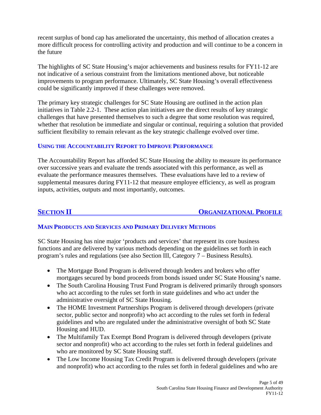recent surplus of bond cap has ameliorated the uncertainty, this method of allocation creates a more difficult process for controlling activity and production and will continue to be a concern in the future

The highlights of SC State Housing's major achievements and business results for FY11-12 are not indicative of a serious constraint from the limitations mentioned above, but noticeable improvements to program performance. Ultimately, SC State Housing's overall effectiveness could be significantly improved if these challenges were removed.

The primary key strategic challenges for SC State Housing are outlined in the action plan initiatives in Table 2.2-1. These action plan initiatives are the direct results of key strategic challenges that have presented themselves to such a degree that some resolution was required, whether that resolution be immediate and singular or continual, requiring a solution that provided sufficient flexibility to remain relevant as the key strategic challenge evolved over time.

#### **USING THE ACCOUNTABILITY REPORT TO IMPROVE PERFORMANCE**

The Accountability Report has afforded SC State Housing the ability to measure its performance over successive years and evaluate the trends associated with this performance, as well as evaluate the performance measures themselves. These evaluations have led to a review of supplemental measures during FY11-12 that measure employee efficiency, as well as program inputs, activities, outputs and most importantly, outcomes.

#### **SECTION II ORGANIZATIONAL PROFILE**

#### **MAIN PRODUCTS AND SERVICES AND PRIMARY DELIVERY METHODS**

SC State Housing has nine major 'products and services' that represent its core business functions and are delivered by various methods depending on the guidelines set forth in each program's rules and regulations (see also Section III, Category 7 – Business Results).

- The Mortgage Bond Program is delivered through lenders and brokers who offer mortgages secured by bond proceeds from bonds issued under SC State Housing's name.
- The South Carolina Housing Trust Fund Program is delivered primarily through sponsors who act according to the rules set forth in state guidelines and who act under the administrative oversight of SC State Housing.
- The HOME Investment Partnerships Program is delivered through developers (private sector, public sector and nonprofit) who act according to the rules set forth in federal guidelines and who are regulated under the administrative oversight of both SC State Housing and HUD.
- The Multifamily Tax Exempt Bond Program is delivered through developers (private sector and nonprofit) who act according to the rules set forth in federal guidelines and who are monitored by SC State Housing staff.
- The Low Income Housing Tax Credit Program is delivered through developers (private and nonprofit) who act according to the rules set forth in federal guidelines and who are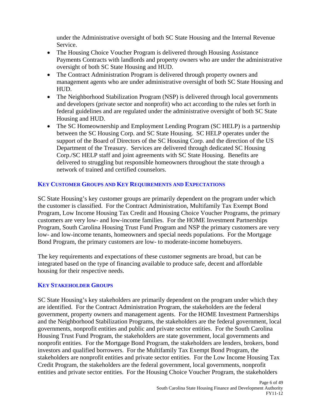under the Administrative oversight of both SC State Housing and the Internal Revenue Service.

- The Housing Choice Voucher Program is delivered through Housing Assistance Payments Contracts with landlords and property owners who are under the administrative oversight of both SC State Housing and HUD.
- The Contract Administration Program is delivered through property owners and management agents who are under administrative oversight of both SC State Housing and HUD.
- The Neighborhood Stabilization Program (NSP) is delivered through local governments and developers (private sector and nonprofit) who act according to the rules set forth in federal guidelines and are regulated under the administrative oversight of both SC State Housing and HUD.
- The SC Homeownership and Employment Lending Program (SC HELP) is a partnership between the SC Housing Corp. and SC State Housing. SC HELP operates under the support of the Board of Directors of the SC Housing Corp. and the direction of the US Department of the Treasury. Services are delivered through dedicated SC Housing Corp./SC HELP staff and joint agreements with SC State Housing. Benefits are delivered to struggling but responsible homeowners throughout the state through a network of trained and certified counselors.

#### **KEY CUSTOMER GROUPS AND KEY REQUIREMENTS AND EXPECTATIONS**

SC State Housing's key customer groups are primarily dependent on the program under which the customer is classified. For the Contract Administration, Multifamily Tax Exempt Bond Program, Low Income Housing Tax Credit and Housing Choice Voucher Programs, the primary customers are very low- and low-income families. For the HOME Investment Partnerships Program, South Carolina Housing Trust Fund Program and NSP the primary customers are very low- and low-income tenants, homeowners and special needs populations. For the Mortgage Bond Program, the primary customers are low- to moderate-income homebuyers.

The key requirements and expectations of these customer segments are broad, but can be integrated based on the type of financing available to produce safe, decent and affordable housing for their respective needs.

#### **KEY STAKEHOLDER GROUPS**

SC State Housing's key stakeholders are primarily dependent on the program under which they are identified. For the Contract Administration Program, the stakeholders are the federal government, property owners and management agents. For the HOME Investment Partnerships and the Neighborhood Stabilization Programs, the stakeholders are the federal government, local governments, nonprofit entities and public and private sector entities. For the South Carolina Housing Trust Fund Program, the stakeholders are state government, local governments and nonprofit entities. For the Mortgage Bond Program, the stakeholders are lenders, brokers, bond investors and qualified borrowers. For the Multifamily Tax Exempt Bond Program, the stakeholders are nonprofit entities and private sector entities. For the Low Income Housing Tax Credit Program, the stakeholders are the federal government, local governments, nonprofit entities and private sector entities. For the Housing Choice Voucher Program, the stakeholders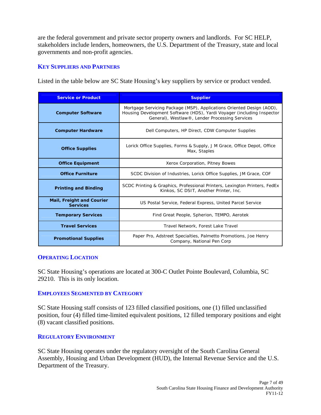are the federal government and private sector property owners and landlords. For SC HELP, stakeholders include lenders, homeowners, the U.S. Department of the Treasury, state and local governments and non-profit agencies.

#### **KEY SUPPLIERS AND PARTNERS**

Listed in the table below are SC State Housing's key suppliers by service or product vended.

| <b>Service or Product</b>                           | <b>Supplier</b>                                                                                                                                                                                   |  |  |  |
|-----------------------------------------------------|---------------------------------------------------------------------------------------------------------------------------------------------------------------------------------------------------|--|--|--|
| <b>Computer Software</b>                            | Mortgage Servicing Package (MSP), Applications Oriented Design (AOD),<br>Housing Development Software (HDS), Yardi Voyager (including Inspector<br>General), Westlaw®, Lender Processing Services |  |  |  |
| <b>Computer Hardware</b>                            | Dell Computers, HP Direct, CDW Computer Supplies                                                                                                                                                  |  |  |  |
| <b>Office Supplies</b>                              | Lorick Office Supplies, Forms & Supply, J M Grace, Office Depot, Office<br>Max, Staples                                                                                                           |  |  |  |
| <b>Office Equipment</b>                             | Xerox Corporation, Pitney Bowes                                                                                                                                                                   |  |  |  |
| <b>Office Furniture</b>                             | SCDC Division of Industries, Lorick Office Supplies, JM Grace, COF                                                                                                                                |  |  |  |
| <b>Printing and Binding</b>                         | SCDC Printing & Graphics, Professional Printers, Lexington Printers, FedEx<br>Kinkos, SC DSIT, Another Printer, Inc.                                                                              |  |  |  |
| <b>Mail, Freight and Courier</b><br><b>Services</b> | US Postal Service, Federal Express, United Parcel Service                                                                                                                                         |  |  |  |
| <b>Temporary Services</b>                           | Find Great People, Spherion, TEMPO, Aerotek                                                                                                                                                       |  |  |  |
| <b>Travel Services</b>                              | Travel Network, Forest Lake Travel                                                                                                                                                                |  |  |  |
| <b>Promotional Supplies</b>                         | Paper Pro, Adstreet Specialties, Palmetto Promotions, Joe Henry<br>Company, National Pen Corp                                                                                                     |  |  |  |

#### **OPERATING LOCATION**

SC State Housing's operations are located at 300-C Outlet Pointe Boulevard, Columbia, SC 29210. This is its only location.

#### **EMPLOYEES SEGMENTED BY CATEGORY**

SC State Housing staff consists of 123 filled classified positions, one (1) filled unclassified position, four (4) filled time-limited equivalent positions, 12 filled temporary positions and eight (8) vacant classified positions.

#### **REGULATORY ENVIRONMENT**

SC State Housing operates under the regulatory oversight of the South Carolina General Assembly, Housing and Urban Development (HUD), the Internal Revenue Service and the U.S. Department of the Treasury.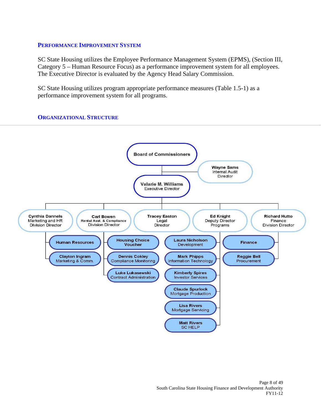#### **PERFORMANCE IMPROVEMENT SYSTEM**

SC State Housing utilizes the Employee Performance Management System (EPMS), (Section III, Category 5 – Human Resource Focus) as a performance improvement system for all employees. The Executive Director is evaluated by the Agency Head Salary Commission.

SC State Housing utilizes program appropriate performance measures (Table 1.5-1) as a performance improvement system for all programs.

#### **ORGANIZATIONAL STRUCTURE**

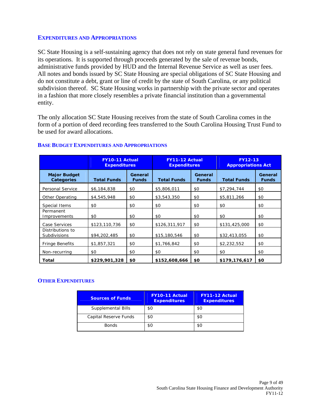#### **EXPENDITURES AND APPROPRIATIONS**

SC State Housing is a self-sustaining agency that does not rely on state general fund revenues for its operations. It is supported through proceeds generated by the sale of revenue bonds, administrative funds provided by HUD and the Internal Revenue Service as well as user fees. All notes and bonds issued by SC State Housing are special obligations of SC State Housing and do not constitute a debt, grant or line of credit by the state of South Carolina, or any political subdivision thereof. SC State Housing works in partnership with the private sector and operates in a fashion that more closely resembles a private financial institution than a governmental entity.

The only allocation SC State Housing receives from the state of South Carolina comes in the form of a portion of deed recording fees transferred to the South Carolina Housing Trust Fund to be used for award allocations.

|                                          | <b>FY10-11 Actual</b><br><b>Expenditures</b> |                         | <b>FY11-12 Actual</b><br><b>Expenditures</b> |                         | <b>FY12-13</b><br><b>Appropriations Act</b> |                         |
|------------------------------------------|----------------------------------------------|-------------------------|----------------------------------------------|-------------------------|---------------------------------------------|-------------------------|
| <b>Major Budget</b><br><b>Categories</b> | <b>Total Funds</b>                           | General<br><b>Funds</b> | <b>Total Funds</b>                           | General<br><b>Funds</b> | <b>Total Funds</b>                          | General<br><b>Funds</b> |
| Personal Service                         | \$6,184,838                                  | \$0                     | \$5,806,011                                  | \$0                     | \$7,294,744                                 | \$0                     |
| Other Operating                          | \$4,545,948                                  | \$0                     | \$3,543,350                                  | \$0                     | \$5,811,266                                 | \$0                     |
| Special Items                            | \$0                                          | \$0                     | \$0                                          | \$0                     | \$0                                         | \$0                     |
| Permanent<br>Improvements                | \$0                                          | \$0                     | \$0                                          | \$0                     | \$0                                         | \$0                     |
| Case Services                            | \$123,110,736                                | \$0                     | \$126,311,917                                | \$0                     | \$131,425,000                               | \$0                     |
| Distributions to<br><b>Subdivisions</b>  | \$94,202,485                                 | \$0                     | \$15,180,546                                 | \$0                     | \$32,413,055                                | \$0                     |
| <b>Fringe Benefits</b>                   | \$1,857,321                                  | \$0                     | \$1,766,842                                  | \$0                     | \$2,232,552                                 | \$0                     |
| Non-recurring                            | \$0                                          | \$0                     | \$0                                          | \$0                     | \$0                                         | \$0                     |
| <b>Total</b>                             | \$229,901,328                                | \$0                     | \$152,608,666                                | \$0                     | \$179,176,617                               | \$0                     |

#### **BASE BUDGET EXPENDITURES AND APPROPRIATIONS**

#### **OTHER EXPENDITURES**

| <b>Sources of Funds</b> | <b>FY10-11 Actual</b><br><b>Expenditures</b> | <b>FY11-12 Actual</b><br><b>Expenditures</b> |
|-------------------------|----------------------------------------------|----------------------------------------------|
| Supplemental Bills      | \$0                                          | \$0                                          |
| Capital Reserve Funds   | \$0                                          | \$0                                          |
| <b>Bonds</b>            | \$0                                          | \$0                                          |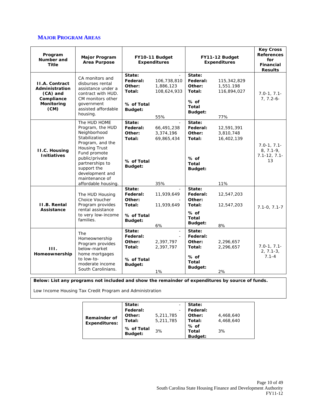#### **MAJOR PROGRAM AREAS**

| Program<br>Number and<br>Title                                                          | <b>Major Program</b><br><b>Area Purpose</b>                                                                                                                                                                                                   | FY10-11 Budget<br><b>Expenditures</b>                           |                                                | FY11-12 Budget<br><b>Expenditures</b>                                              |                                                | <b>Key Cross</b><br><b>References</b><br>for<br>Financial<br><b>Results</b> |
|-----------------------------------------------------------------------------------------|-----------------------------------------------------------------------------------------------------------------------------------------------------------------------------------------------------------------------------------------------|-----------------------------------------------------------------|------------------------------------------------|------------------------------------------------------------------------------------|------------------------------------------------|-----------------------------------------------------------------------------|
| <b>II.A. Contract</b><br>Administration<br>(CA) and<br>Compliance<br>Monitoring<br>(CM) | CA monitors and<br>disburses rental<br>assistance under a<br>contract with HUD.<br>CM monitors other<br>government<br>assisted affordable<br>housing.                                                                                         | State:<br>Federal:<br>Other:<br>Total:<br>% of Total<br>Budget: | 106,738,810<br>1,886,123<br>108,624,933<br>55% | State:<br>Federal:<br>Other:<br>Total:<br>$%$ of<br><b>Total</b><br><b>Budget:</b> | 115,342,829<br>1,551.198<br>116,894,027<br>77% | $7.0 - 1, 7.1 -$<br>$7, 7.2 - 6 -$                                          |
| II.C. Housing<br><b>Initiatives</b>                                                     | The HUD HOME<br>Program, the HUD<br>Neighborhood<br>Stabilization<br>Program, and the<br><b>Housing Trust</b><br>Fund promote<br>public/private<br>partnerships to<br>support the<br>development and<br>maintenance of<br>affordable housing. | State:<br>Federal:<br>Other:<br>Total:<br>% of Total<br>Budget: | 66,491,238<br>3,374,196<br>69,865,434<br>35%   | State:<br>Federal:<br>Other:<br>Total:<br>% of<br><b>Total</b><br>Budget:          | 12,591,391<br>3,810,748<br>16,402,139<br>11%   | $7.0 - 1, 7.1 -$<br>$8, 7.1 - 9,$<br>$7.1 - 12, 7.1 -$<br>13                |
| <b>II.B. Rental</b><br>Assistance                                                       | The HUD Housing<br>Choice Voucher<br>Program provides<br>rental assistance<br>to very low-income<br>families.                                                                                                                                 | State:<br>Federal:<br>Other:<br>Total:<br>% of Total<br>Budget: | 11,939,649<br>11,939,649<br>6%                 | State:<br>Federal:<br>Other:<br>Total:<br>% of<br><b>Total</b><br>Budget:          | 12,547,203<br>12,547,203<br>8%                 | $7.1 - 0, 7.1 - 7$                                                          |
| III.<br>Homeownership                                                                   | The<br>Homeownership<br>Program provides<br>below-market<br>home mortgages<br>to low-to-<br>moderate income<br>South Carolinians.                                                                                                             | State:<br>Federal:<br>Other:<br>Total:<br>% of Total<br>Budget: | 2,397,797<br>2,397,797<br>1%                   | State:<br>Federal:<br>Other:<br>Total:<br>% of<br><b>Total</b><br>Budget:          | 2,296,657<br>2,296,657<br>2%                   | $7.0 - 1, 7.1 -$<br>$2, 7.1 - 3,$<br>$7.1 - 4$                              |

**Below: List any programs not included and show the remainder of expenditures by source of funds.** 

Low Income Housing Tax Credit Program and Administration

|                      | State:     |           | State:         |           |
|----------------------|------------|-----------|----------------|-----------|
|                      | Federal:   |           | Federal:       |           |
| <b>Remainder of</b>  | Other:     | 5,211,785 | Other:         | 4,468,640 |
| <b>Expenditures:</b> | Total:     | 5,211,785 | Total:         | 4,468,640 |
|                      | % of Total |           | $%$ of         |           |
|                      | Budget:    | 3%        | Total          | 3%        |
|                      |            |           | <b>Budget:</b> |           |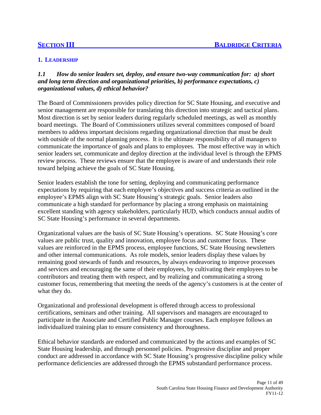#### **1. LEADERSHIP**

#### *1.1 How do senior leaders set, deploy, and ensure two-way communication for: a) short and long term direction and organizational priorities, b) performance expectations, c) organizational values, d) ethical behavior?*

The Board of Commissioners provides policy direction for SC State Housing, and executive and senior management are responsible for translating this direction into strategic and tactical plans. Most direction is set by senior leaders during regularly scheduled meetings, as well as monthly board meetings. The Board of Commissioners utilizes several committees composed of board members to address important decisions regarding organizational direction that must be dealt with outside of the normal planning process. It is the ultimate responsibility of all managers to communicate the importance of goals and plans to employees. The most effective way in which senior leaders set, communicate and deploy direction at the individual level is through the EPMS review process. These reviews ensure that the employee is aware of and understands their role toward helping achieve the goals of SC State Housing.

Senior leaders establish the tone for setting, deploying and communicating performance expectations by requiring that each employee's objectives and success criteria as outlined in the employee's EPMS align with SC State Housing's strategic goals. Senior leaders also communicate a high standard for performance by placing a strong emphasis on maintaining excellent standing with agency stakeholders, particularly HUD, which conducts annual audits of SC State Housing's performance in several departments.

Organizational values are the basis of SC State Housing's operations. SC State Housing's core values are public trust, quality and innovation, employee focus and customer focus. These values are reinforced in the EPMS process, employee functions, SC State Housing newsletters and other internal communications. As role models, senior leaders display these values by remaining good stewards of funds and resources, by always endeavoring to improve processes and services and encouraging the same of their employees, by cultivating their employees to be contributors and treating them with respect, and by realizing and communicating a strong customer focus, remembering that meeting the needs of the agency's customers is at the center of what they do.

Organizational and professional development is offered through access to professional certifications, seminars and other training. All supervisors and managers are encouraged to participate in the Associate and Certified Public Manager courses. Each employee follows an individualized training plan to ensure consistency and thoroughness.

Ethical behavior standards are endorsed and communicated by the actions and examples of SC State Housing leadership, and through personnel policies. Progressive discipline and proper conduct are addressed in accordance with SC State Housing's progressive discipline policy while performance deficiencies are addressed through the EPMS substandard performance process.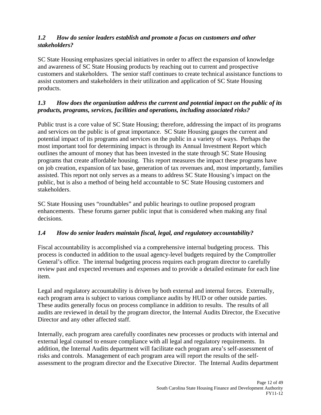#### *1.2 How do senior leaders establish and promote a focus on customers and other stakeholders?*

SC State Housing emphasizes special initiatives in order to affect the expansion of knowledge and awareness of SC State Housing products by reaching out to current and prospective customers and stakeholders. The senior staff continues to create technical assistance functions to assist customers and stakeholders in their utilization and application of SC State Housing products.

#### *1.3 How does the organization address the current and potential impact on the public of its products, programs, services, facilities and operations, including associated risks?*

Public trust is a core value of SC State Housing; therefore, addressing the impact of its programs and services on the public is of great importance. SC State Housing gauges the current and potential impact of its programs and services on the public in a variety of ways. Perhaps the most important tool for determining impact is through its Annual Investment Report which outlines the amount of money that has been invested in the state through SC State Housing programs that create affordable housing. This report measures the impact these programs have on job creation, expansion of tax base, generation of tax revenues and, most importantly, families assisted. This report not only serves as a means to address SC State Housing's impact on the public, but is also a method of being held accountable to SC State Housing customers and stakeholders.

SC State Housing uses "roundtables" and public hearings to outline proposed program enhancements. These forums garner public input that is considered when making any final decisions.

#### *1.4 How do senior leaders maintain fiscal, legal, and regulatory accountability?*

Fiscal accountability is accomplished via a comprehensive internal budgeting process. This process is conducted in addition to the usual agency-level budgets required by the Comptroller General's office. The internal budgeting process requires each program director to carefully review past and expected revenues and expenses and to provide a detailed estimate for each line item.

Legal and regulatory accountability is driven by both external and internal forces. Externally, each program area is subject to various compliance audits by HUD or other outside parties. These audits generally focus on process compliance in addition to results. The results of all audits are reviewed in detail by the program director, the Internal Audits Director, the Executive Director and any other affected staff.

Internally, each program area carefully coordinates new processes or products with internal and external legal counsel to ensure compliance with all legal and regulatory requirements. In addition, the Internal Audits department will facilitate each program area's self-assessment of risks and controls. Management of each program area will report the results of the selfassessment to the program director and the Executive Director. The Internal Audits department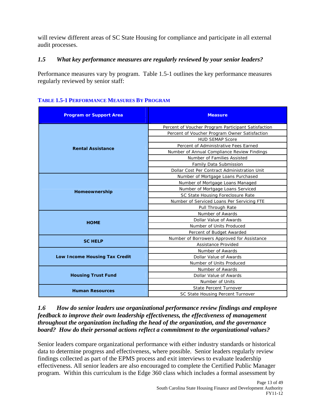will review different areas of SC State Housing for compliance and participate in all external audit processes.

#### *1.5 What key performance measures are regularly reviewed by your senior leaders?*

Performance measures vary by program. Table 1.5-1 outlines the key performance measures regularly reviewed by senior staff:

| <b>Program or Support Area</b> | <b>Measure</b>                                      |  |  |  |
|--------------------------------|-----------------------------------------------------|--|--|--|
|                                | Percent of Voucher Program Participant Satisfaction |  |  |  |
|                                | Percent of Voucher Program Owner Satisfaction       |  |  |  |
|                                | <b>HUD SEMAP Score</b>                              |  |  |  |
| <b>Rental Assistance</b>       | Percent of Administrative Fees Earned               |  |  |  |
|                                | Number of Annual Compliance Review Findings         |  |  |  |
|                                | Number of Families Assisted                         |  |  |  |
|                                | Family Data Submission                              |  |  |  |
|                                | Dollar Cost Per Contract Administration Unit        |  |  |  |
|                                | Number of Mortgage Loans Purchased                  |  |  |  |
| Homeownership                  | Number of Mortgage Loans Managed                    |  |  |  |
|                                | Number of Mortgage Loans Serviced                   |  |  |  |
|                                | SC State Housing Foreclosure Rate                   |  |  |  |
|                                | Number of Serviced Loans Per Servicing FTE          |  |  |  |
|                                | Pull Through Rate                                   |  |  |  |
|                                | Number of Awards                                    |  |  |  |
| <b>HOME</b>                    | Dollar Value of Awards                              |  |  |  |
|                                | Number of Units Produced                            |  |  |  |
|                                | Percent of Budget Awarded                           |  |  |  |
| <b>SC HELP</b>                 | Number of Borrowers Approved for Assistance         |  |  |  |
|                                | Assistance Provided                                 |  |  |  |
|                                | Number of Awards                                    |  |  |  |
| Low Income Housing Tax Credit  | Dollar Value of Awards                              |  |  |  |
|                                | Number of Units Produced                            |  |  |  |
| <b>Housing Trust Fund</b>      | Number of Awards                                    |  |  |  |
|                                | Dollar Value of Awards                              |  |  |  |
|                                | Number of Units                                     |  |  |  |
| <b>Human Resources</b>         | <b>State Percent Turnover</b>                       |  |  |  |
|                                | SC State Housing Percent Turnover                   |  |  |  |

#### **TABLE 1.5-1 PERFORMANCE MEASURES BY PROGRAM**

#### *1.6 How do senior leaders use organizational performance review findings and employee feedback to improve their own leadership effectiveness, the effectiveness of management throughout the organization including the head of the organization, and the governance board? How do their personal actions reflect a commitment to the organizational values?*

Senior leaders compare organizational performance with either industry standards or historical data to determine progress and effectiveness, where possible. Senior leaders regularly review findings collected as part of the EPMS process and exit interviews to evaluate leadership effectiveness. All senior leaders are also encouraged to complete the Certified Public Manager program. Within this curriculum is the Edge 360 class which includes a formal assessment by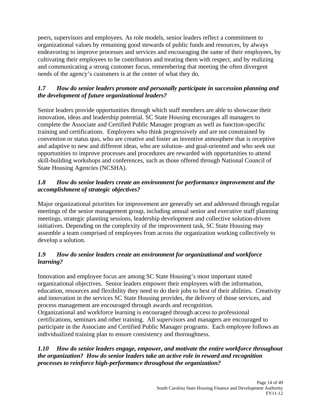peers, supervisors and employees. As role models, senior leaders reflect a commitment to organizational values by remaining good stewards of public funds and resources, by always endeavoring to improve processes and services and encouraging the same of their employees, by cultivating their employees to be contributors and treating them with respect, and by realizing and communicating a strong customer focus, remembering that meeting the often divergent needs of the agency's customers is at the center of what they do.

#### *1.7 How do senior leaders promote and personally participate in succession planning and the development of future organizational leaders?*

Senior leaders provide opportunities through which staff members are able to showcase their innovation, ideas and leadership potential. SC State Housing encourages all managers to complete the Associate and Certified Public Manager program as well as function-specific training and certifications. Employees who think progressively and are not constrained by convention or status quo, who are creative and foster an inventive atmosphere that is receptive and adaptive to new and different ideas, who are solution- and goal-oriented and who seek out opportunities to improve processes and procedures are rewarded with opportunities to attend skill-building workshops and conferences, such as those offered through National Council of State Housing Agencies (NCSHA).

#### *1.8 How do senior leaders create an environment for performance improvement and the accomplishment of strategic objectives?*

Major organizational priorities for improvement are generally set and addressed through regular meetings of the senior management group, including annual senior and executive staff planning meetings, strategic planning sessions, leadership development and collective solution-driven initiatives. Depending on the complexity of the improvement task, SC State Housing may assemble a team comprised of employees from across the organization working collectively to develop a solution.

#### *1.9 How do senior leaders create an environment for organizational and workforce learning?*

Innovation and employee focus are among SC State Housing's most important stated organizational objectives. Senior leaders empower their employees with the information, education, resources and flexibility they need to do their jobs to best of their abilities. Creativity and innovation in the services SC State Housing provides, the delivery of those services, and process management are encouraged through awards and recognition.

Organizational and workforce learning is encouraged through access to professional certifications, seminars and other training. All supervisors and managers are encouraged to participate in the Associate and Certified Public Manager programs. Each employee follows an individualized training plan to ensure consistency and thoroughness.

#### *1.10 How do senior leaders engage, empower, and motivate the entire workforce throughout the organization? How do senior leaders take an active role in reward and recognition processes to reinforce high-performance throughout the organization?*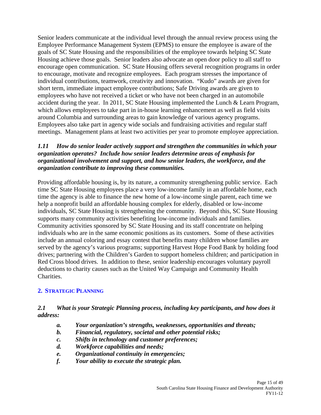Senior leaders communicate at the individual level through the annual review process using the Employee Performance Management System (EPMS) to ensure the employee is aware of the goals of SC State Housing and the responsibilities of the employee towards helping SC State Housing achieve those goals. Senior leaders also advocate an open door policy to all staff to encourage open communication. SC State Housing offers several recognition programs in order to encourage, motivate and recognize employees. Each program stresses the importance of individual contributions, teamwork, creativity and innovation. "Kudo" awards are given for short term, immediate impact employee contributions; Safe Driving awards are given to employees who have not received a ticket or who have not been charged in an automobile accident during the year. In 2011, SC State Housing implemented the Lunch & Learn Program, which allows employees to take part in in-house learning enhancement as well as field visits around Columbia and surrounding areas to gain knowledge of various agency programs. Employees also take part in agency wide socials and fundraising activities and regular staff meetings. Management plans at least two activities per year to promote employee appreciation.

#### *1.11 How do senior leader actively support and strengthen the communities in which your organization operates? Include how senior leaders determine areas of emphasis for organizational involvement and support, and how senior leaders, the workforce, and the organization contribute to improving these communities.*

Providing affordable housing is, by its nature, a community strengthening public service. Each time SC State Housing employees place a very low-income family in an affordable home, each time the agency is able to finance the new home of a low-income single parent, each time we help a nonprofit build an affordable housing complex for elderly, disabled or low-income individuals, SC State Housing is strengthening the community. Beyond this, SC State Housing supports many community activities benefiting low-income individuals and families. Community activities sponsored by SC State Housing and its staff concentrate on helping individuals who are in the same economic positions as its customers. Some of these activities include an annual coloring and essay contest that benefits many children whose families are served by the agency's various programs; supporting Harvest Hope Food Bank by holding food drives; partnering with the Children's Garden to support homeless children; and participation in Red Cross blood drives. In addition to these, senior leadership encourages voluntary payroll deductions to charity causes such as the United Way Campaign and Community Health Charities.

#### **2. STRATEGIC PLANNING**

#### *2.1 What is your Strategic Planning process, including key participants, and how does it address:*

- *a. Your organization's strengths, weaknesses, opportunities and threats;*
- *b. Financial, regulatory, societal and other potential risks;*
- *c. Shifts in technology and customer preferences;*
- *d. Workforce capabilities and needs;*
- *e. Organizational continuity in emergencies;*
- *f. Your ability to execute the strategic plan.*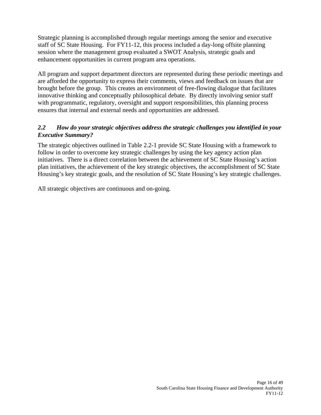Strategic planning is accomplished through regular meetings among the senior and executive staff of SC State Housing. For FY11-12, this process included a day-long offsite planning session where the management group evaluated a SWOT Analysis, strategic goals and enhancement opportunities in current program area operations.

All program and support department directors are represented during these periodic meetings and are afforded the opportunity to express their comments, views and feedback on issues that are brought before the group. This creates an environment of free-flowing dialogue that facilitates innovative thinking and conceptually philosophical debate. By directly involving senior staff with programmatic, regulatory, oversight and support responsibilities, this planning process ensures that internal and external needs and opportunities are addressed.

#### *2.2 How do your strategic objectives address the strategic challenges you identified in your Executive Summary?*

The strategic objectives outlined in Table 2.2-1 provide SC State Housing with a framework to follow in order to overcome key strategic challenges by using the key agency action plan initiatives. There is a direct correlation between the achievement of SC State Housing's action plan initiatives, the achievement of the key strategic objectives, the accomplishment of SC State Housing's key strategic goals, and the resolution of SC State Housing's key strategic challenges.

All strategic objectives are continuous and on-going.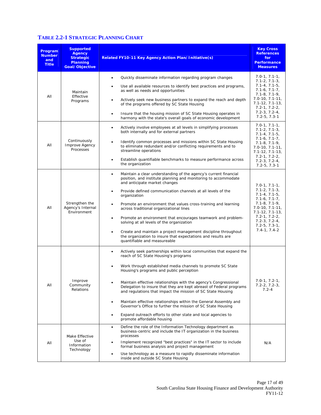### **TABLE 2.2-1 STRATEGIC PLANNING CHART**

| Program<br><b>Number</b><br>and<br><b>Title</b> | <b>Supported</b><br><b>Agency</b><br><b>Strategic</b><br><b>Planning</b><br>Goal/Objective | Related FY10-11 Key Agency Action Plan/Initiative(s)                                                                                                                                                                                                                                                                                                                                                                                                                                                                                                                                                                                                                                                      | <b>Key Cross</b><br><b>References</b><br>for<br><b>Performance</b><br><b>Measures</b>                                                                                                                                                                        |
|-------------------------------------------------|--------------------------------------------------------------------------------------------|-----------------------------------------------------------------------------------------------------------------------------------------------------------------------------------------------------------------------------------------------------------------------------------------------------------------------------------------------------------------------------------------------------------------------------------------------------------------------------------------------------------------------------------------------------------------------------------------------------------------------------------------------------------------------------------------------------------|--------------------------------------------------------------------------------------------------------------------------------------------------------------------------------------------------------------------------------------------------------------|
| All                                             | Maintain<br>Effective<br>Programs                                                          | Quickly disseminate information regarding program changes<br>$\bullet$<br>Use all available resources to identify best practices and programs,<br>as well as needs and opportunities<br>Actively seek new business partners to expand the reach and depth<br>of the programs offered by SC State Housing<br>Insure that the housing mission of SC State Housing operates in<br>$\bullet$<br>harmony with the state's overall goals of economic development                                                                                                                                                                                                                                                | $7.0 - 1, 7.1 - 1,$<br>$7.1 - 2, 7.1 - 3,$<br>$7.1 - 4, 7.1 - 5,$<br>$7.1 - 6, 7.1 - 7,$<br>$7.1 - 8, 7.1 - 9,$<br>$7.0 - 10, 7.1 - 11,$<br>$7.1 - 12, 7.1 - 13,$<br>$7.2 - 1, 7.2 - 2,$<br>$7.2 - 3, 7.2 - 4,$<br>$7.2 - 5, 7.3 - 1$                        |
| All                                             | Continuously<br>Improve Agency<br>Processes                                                | Actively involve employees at all levels in simplifying processes<br>$\bullet$<br>both internally and for external partners<br>Identify common processes and missions within SC State Housing<br>$\bullet$<br>to eliminate redundant and/or conflicting requirements and to<br>streamline operations<br>Establish quantifiable benchmarks to measure performance across<br>$\bullet$<br>the organization                                                                                                                                                                                                                                                                                                  | $7.0 - 1, 7.1 - 1,$<br>$7.1 - 2, 7.1 - 3,$<br>$7.1 - 4, 7.1 - 5,$<br>$7.1 - 6, 7.1 - 7,$<br>$7.1 - 8, 7.1 - 9,$<br>$7.0 - 10, 7.1 - 11,$<br>$7.1 - 12, 7.1 - 13,$<br>$7.2 - 1, 7.2 - 2,$<br>$7.2 - 3, 7.2 - 4,$<br>$7.2 - 5, 7.3 - 1$                        |
| All                                             | Strengthen the<br>Agency's Internal<br>Environment                                         | Maintain a clear understanding of the agency's current financial<br>$\bullet$<br>position, and institute planning and monitoring to accommodate<br>and anticipate market changes<br>Provide defined communication channels at all levels of the<br>٠<br>organization<br>Promote an environment that values cross-training and learning<br>across traditional organizational lines<br>Promote an environment that encourages teamwork and problem-<br>$\bullet$<br>solving at all levels of the organization<br>Create and maintain a project management discipline throughout<br>the organization to insure that expectations and results are<br>quantifiable and measureable                             | $7.0 - 1, 7.1 - 1,$<br>$7.1 - 2, 7.1 - 3,$<br>$7.1 - 4, 7.1 - 5,$<br>$7.1 - 6, 7.1 - 7,$<br>$7.1 - 8, 7.1 - 9,$<br>$7.0 - 10, 7.1 - 11,$<br>$7.1 - 12, 7.1 - 13,$<br>$7.2 - 1, 7.2 - 2,$<br>$7.2 - 3, 7.2 - 4,$<br>$7.2 - 5, 7.3 - 1,$<br>$7.4 - 1, 7.4 - 2$ |
| All                                             | Improve<br>Community<br>Relations                                                          | Actively seek partnerships within local communities that expand the<br>$\bullet$<br>reach of SC State Housing's programs<br>Work through established media channels to promote SC State<br>Housing's programs and public perception<br>Maintain effective relationships with the agency's Congressional<br>Delegation to insure that they are kept abreast of Federal programs<br>and regulations that impact the mission of SC State Housing<br>Maintain effective relationships within the General Assembly and<br>$\bullet$<br>Governor's Office to further the mission of SC State Housing<br>Expand outreach efforts to other state and local agencies to<br>$\bullet$<br>promote affordable housing | $7.0 - 1, 7.2 - 1,$<br>$7.2 - 2, 7.2 - 3,$<br>$7.2 - 4$                                                                                                                                                                                                      |
| All                                             | Make Effective<br>Use of<br>Information<br>Technology                                      | Define the role of the Information Technology department as<br>$\bullet$<br>business-centric and include the IT organization in the business<br>processes<br>Implement recognized "best practices" in the IT sector to include<br>$\bullet$<br>formal business analysis and project management<br>Use technology as a measure to rapidly disseminate information<br>$\bullet$<br>inside and outside SC State Housing                                                                                                                                                                                                                                                                                      | N/A                                                                                                                                                                                                                                                          |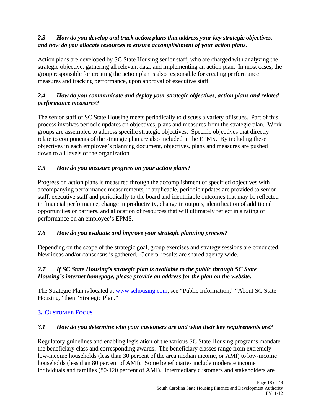#### *2.3 How do you develop and track action plans that address your key strategic objectives, and how do you allocate resources to ensure accomplishment of your action plans.*

Action plans are developed by SC State Housing senior staff, who are charged with analyzing the strategic objective, gathering all relevant data, and implementing an action plan. In most cases, the group responsible for creating the action plan is also responsible for creating performance measures and tracking performance, upon approval of executive staff.

#### *2.4 How do you communicate and deploy your strategic objectives, action plans and related performance measures?*

The senior staff of SC State Housing meets periodically to discuss a variety of issues. Part of this process involves periodic updates on objectives, plans and measures from the strategic plan. Work groups are assembled to address specific strategic objectives. Specific objectives that directly relate to components of the strategic plan are also included in the EPMS. By including these objectives in each employee's planning document, objectives, plans and measures are pushed down to all levels of the organization.

#### *2.5 How do you measure progress on your action plans?*

Progress on action plans is measured through the accomplishment of specified objectives with accompanying performance measurements, if applicable, periodic updates are provided to senior staff, executive staff and periodically to the board and identifiable outcomes that may be reflected in financial performance, change in productivity, change in outputs, identification of additional opportunities or barriers, and allocation of resources that will ultimately reflect in a rating of performance on an employee's EPMS.

#### *2.6 How do you evaluate and improve your strategic planning process?*

Depending on the scope of the strategic goal, group exercises and strategy sessions are conducted. New ideas and/or consensus is gathered. General results are shared agency wide.

#### *2.7 If SC State Housing's strategic plan is available to the public through SC State Housing's internet homepage, please provide an address for the plan on the website.*

The Strategic Plan is located at www.schousing.com, see "Public Information," "About SC State Housing," then "Strategic Plan."

#### **3. CUSTOMER FOCUS**

#### *3.1 How do you determine who your customers are and what their key requirements are?*

Regulatory guidelines and enabling legislation of the various SC State Housing programs mandate the beneficiary class and corresponding awards. The beneficiary classes range from extremely low-income households (less than 30 percent of the area median income, or AMI) to low-income households (less than 80 percent of AMI). Some beneficiaries include moderate income individuals and families (80-120 percent of AMI). Intermediary customers and stakeholders are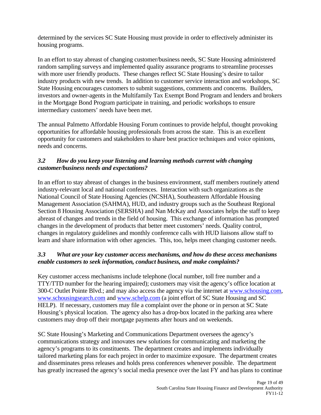determined by the services SC State Housing must provide in order to effectively administer its housing programs.

In an effort to stay abreast of changing customer/business needs, SC State Housing administered random sampling surveys and implemented quality assurance programs to streamline processes with more user friendly products. These changes reflect SC State Housing's desire to tailor industry products with new trends. In addition to customer service interaction and workshops, SC State Housing encourages customers to submit suggestions, comments and concerns. Builders, investors and owner-agents in the Multifamily Tax Exempt Bond Program and lenders and brokers in the Mortgage Bond Program participate in training, and periodic workshops to ensure intermediary customers' needs have been met.

The annual Palmetto Affordable Housing Forum continues to provide helpful, thought provoking opportunities for affordable housing professionals from across the state. This is an excellent opportunity for customers and stakeholders to share best practice techniques and voice opinions, needs and concerns.

#### *3.2 How do you keep your listening and learning methods current with changing customer/business needs and expectations?*

In an effort to stay abreast of changes in the business environment, staff members routinely attend industry-relevant local and national conferences. Interaction with such organizations as the National Council of State Housing Agencies (NCSHA), Southeastern Affordable Housing Management Association (SAHMA), HUD, and industry groups such as the Southeast Regional Section 8 Housing Association (SERSHA) and Nan McKay and Associates helps the staff to keep abreast of changes and trends in the field of housing. This exchange of information has prompted changes in the development of products that better meet customers' needs. Quality control, changes in regulatory guidelines and monthly conference calls with HUD liaisons allow staff to learn and share information with other agencies. This, too, helps meet changing customer needs.

#### *3.3 What are your key customer access mechanisms, and how do these access mechanisms enable customers to seek information, conduct business, and make complaints?*

Key customer access mechanisms include telephone (local number, toll free number and a TTY/TTD number for the hearing impaired); customers may visit the agency's office location at 300-C Outlet Pointe Blvd.; and may also access the agency via the internet at www.schousing.com, www.schousingsearch.com and www.schelp.com (a joint effort of SC State Housing and SC HELP). If necessary, customers may file a complaint over the phone or in person at SC State Housing's physical location. The agency also has a drop-box located in the parking area where customers may drop off their mortgage payments after hours and on weekends.

SC State Housing's Marketing and Communications Department oversees the agency's communications strategy and innovates new solutions for communicating and marketing the agency's programs to its constituents. The department creates and implements individually tailored marketing plans for each project in order to maximize exposure. The department creates and disseminates press releases and holds press conferences whenever possible. The department has greatly increased the agency's social media presence over the last FY and has plans to continue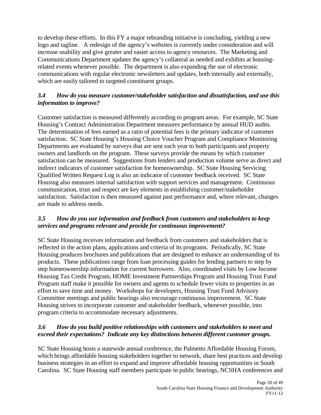to develop these efforts. In this FY a major rebranding initiative is concluding, yielding a new logo and tagline. A redesign of the agency's websites is currently under consideration and will increase usability and give greater and easier access to agency resources. The Marketing and Communications Department updates the agency's collateral as needed and exhibits at housingrelated events whenever possible. The department is also expanding the use of electronic communications with regular electronic newsletters and updates, both internally and externally, which are easily tailored to targeted constituent groups.

### *3.4 How do you measure customer/stakeholder satisfaction and dissatisfaction, and use this information to improve?*

Customer satisfaction is measured differently according to program areas. For example, SC State Housing's Contract Administration Department measures performance by annual HUD audits. The determination of fees earned as a ratio of potential fees is the primary indicator of customer satisfaction. SC State Housing's Housing Choice Voucher Program and Compliance Monitoring Departments are evaluated by surveys that are sent each year to both participants and property owners and landlords on the program. These surveys provide the means by which customer satisfaction can be measured. Suggestions from lenders and production volume serve as direct and indirect indicators of customer satisfaction for homeownership. SC State Housing Servicing Qualified Written Request Log is also an indicator of customer feedback received. SC State Housing also measures internal satisfaction with support services and management. Continuous communication, trust and respect are key elements in establishing customer/stakeholder satisfaction. Satisfaction is then measured against past performance and, where relevant, changes are made to address needs.

#### *3.5 How do you use information and feedback from customers and stakeholders to keep services and programs relevant and provide for continuous improvement?*

SC State Housing receives information and feedback from customers and stakeholders that is reflected in the action plans, applications and criteria of its programs. Periodically, SC State Housing produces brochures and publications that are designed to enhance an understanding of its products. These publications range from loan processing guides for lending partners to step by step homeownership information for current borrowers. Also, coordinated visits by Low Income Housing Tax Credit Program, HOME Investment Partnerships Program and Housing Trust Fund Program staff make it possible for owners and agents to schedule fewer visits to properties in an effort to save time and money. Workshops for developers, Housing Trust Fund Advisory Committee meetings and public hearings also encourage continuous improvement. SC State Housing strives to incorporate customer and stakeholder feedback, whenever possible, into program criteria to accommodate necessary adjustments.

#### *3.6 How do you build positive relationships with customers and stakeholders to meet and exceed their expectations? Indicate any key distinctions between different customer groups.*

SC State Housing hosts a statewide annual conference, the Palmetto Affordable Housing Forum, which brings affordable housing stakeholders together to network, share best practices and develop business strategies in an effort to expand and improve affordable housing opportunities in South Carolina. SC State Housing staff members participate in public hearings, NCSHA conferences and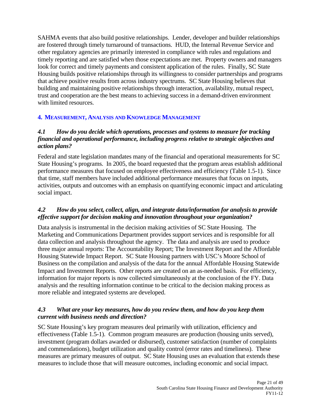SAHMA events that also build positive relationships. Lender, developer and builder relationships are fostered through timely turnaround of transactions. HUD, the Internal Revenue Service and other regulatory agencies are primarily interested in compliance with rules and regulations and timely reporting and are satisfied when those expectations are met. Property owners and managers look for correct and timely payments and consistent application of the rules. Finally, SC State Housing builds positive relationships through its willingness to consider partnerships and programs that achieve positive results from across industry spectrums. SC State Housing believes that building and maintaining positive relationships through interaction, availability, mutual respect, trust and cooperation are the best means to achieving success in a demand-driven environment with limited resources.

#### **4. MEASUREMENT, ANALYSIS AND KNOWLEDGE MANAGEMENT**

#### *4.1 How do you decide which operations, processes and systems to measure for tracking financial and operational performance, including progress relative to strategic objectives and action plans?*

Federal and state legislation mandates many of the financial and operational measurements for SC State Housing's programs. In 2005, the board requested that the program areas establish additional performance measures that focused on employee effectiveness and efficiency (Table 1.5-1). Since that time, staff members have included additional performance measures that focus on inputs, activities, outputs and outcomes with an emphasis on quantifying economic impact and articulating social impact.

#### *4.2 How do you select, collect, align, and integrate data/information for analysis to provide effective support for decision making and innovation throughout your organization?*

Data analysis is instrumental in the decision making activities of SC State Housing. The Marketing and Communications Department provides support services and is responsible for all data collection and analysis throughout the agency. The data and analysis are used to produce three major annual reports: The Accountability Report; The Investment Report and the Affordable Housing Statewide Impact Report. SC State Housing partners with USC's Moore School of Business on the compilation and analysis of the data for the annual Affordable Housing Statewide Impact and Investment Reports. Other reports are created on an as-needed basis. For efficiency, information for major reports is now collected simultaneously at the conclusion of the FY. Data analysis and the resulting information continue to be critical to the decision making process as more reliable and integrated systems are developed.

#### *4.3 What are your key measures, how do you review them, and how do you keep them current with business needs and direction?*

SC State Housing's key program measures deal primarily with utilization, efficiency and effectiveness (Table 1.5-1). Common program measures are production (housing units served), investment (program dollars awarded or disbursed), customer satisfaction (number of complaints and commendations), budget utilization and quality control (error rates and timeliness). These measures are primary measures of output. SC State Housing uses an evaluation that extends these measures to include those that will measure outcomes, including economic and social impact.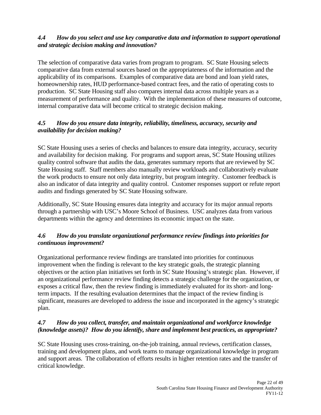#### *4.4 How do you select and use key comparative data and information to support operational and strategic decision making and innovation?*

The selection of comparative data varies from program to program. SC State Housing selects comparative data from external sources based on the appropriateness of the information and the applicability of its comparisons. Examples of comparative data are bond and loan yield rates, homeownership rates, HUD performance-based contract fees, and the ratio of operating costs to production. SC State Housing staff also compares internal data across multiple years as a measurement of performance and quality. With the implementation of these measures of outcome, internal comparative data will become critical to strategic decision making.

#### *4.5 How do you ensure data integrity, reliability, timeliness, accuracy, security and availability for decision making?*

SC State Housing uses a series of checks and balances to ensure data integrity, accuracy, security and availability for decision making. For programs and support areas, SC State Housing utilizes quality control software that audits the data, generates summary reports that are reviewed by SC State Housing staff. Staff members also manually review workloads and collaboratively evaluate the work products to ensure not only data integrity, but program integrity. Customer feedback is also an indicator of data integrity and quality control. Customer responses support or refute report audits and findings generated by SC State Housing software.

Additionally, SC State Housing ensures data integrity and accuracy for its major annual reports through a partnership with USC's Moore School of Business. USC analyzes data from various departments within the agency and determines its economic impact on the state.

#### *4.6 How do you translate organizational performance review findings into priorities for continuous improvement?*

Organizational performance review findings are translated into priorities for continuous improvement when the finding is relevant to the key strategic goals, the strategic planning objectives or the action plan initiatives set forth in SC State Housing's strategic plan. However, if an organizational performance review finding detects a strategic challenge for the organization, or exposes a critical flaw, then the review finding is immediately evaluated for its short- and longterm impacts. If the resulting evaluation determines that the impact of the review finding is significant, measures are developed to address the issue and incorporated in the agency's strategic plan.

#### *4.7 How do you collect, transfer, and maintain organizational and workforce knowledge (knowledge assets)? How do you identify, share and implement best practices, as appropriate?*

SC State Housing uses cross-training, on-the-job training, annual reviews, certification classes, training and development plans, and work teams to manage organizational knowledge in program and support areas. The collaboration of efforts results in higher retention rates and the transfer of critical knowledge.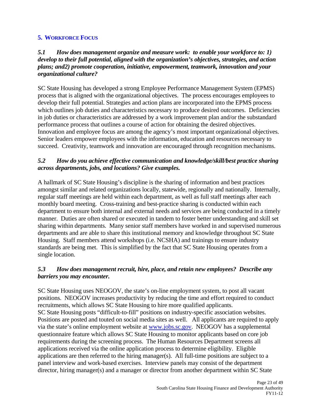#### **5. WORKFORCE FOCUS**

#### *5.1 How does management organize and measure work: to enable your workforce to: 1) develop to their full potential, aligned with the organization's objectives, strategies, and action plans; and2) promote cooperation, initiative, empowerment, teamwork, innovation and your organizational culture?*

SC State Housing has developed a strong Employee Performance Management System (EPMS) process that is aligned with the organizational objectives. The process encourages employees to develop their full potential. Strategies and action plans are incorporated into the EPMS process which outlines job duties and characteristics necessary to produce desired outcomes. Deficiencies in job duties or characteristics are addressed by a work improvement plan and/or the substandard performance process that outlines a course of action for obtaining the desired objectives. Innovation and employee focus are among the agency's most important organizational objectives. Senior leaders empower employees with the information, education and resources necessary to succeed. Creativity, teamwork and innovation are encouraged through recognition mechanisms.

#### *5.2 How do you achieve effective communication and knowledge/skill/best practice sharing across departments, jobs, and locations? Give examples.*

A hallmark of SC State Housing's discipline is the sharing of information and best practices amongst similar and related organizations locally, statewide, regionally and nationally. Internally, regular staff meetings are held within each department, as well as full staff meetings after each monthly board meeting. Cross-training and best-practice sharing is conducted within each department to ensure both internal and external needs and services are being conducted in a timely manner. Duties are often shared or executed in tandem to foster better understanding and skill set sharing within departments. Many senior staff members have worked in and supervised numerous departments and are able to share this institutional memory and knowledge throughout SC State Housing. Staff members attend workshops (i.e. NCSHA) and trainings to ensure industry standards are being met. This is simplified by the fact that SC State Housing operates from a single location.

#### *5.3 How does management recruit, hire, place, and retain new employees? Describe any barriers you may encounter.*

SC State Housing uses NEOGOV, the state's on-line employment system, to post all vacant positions. NEOGOV increases productivity by reducing the time and effort required to conduct recruitments, which allows SC State Housing to hire more qualified applicants. SC State Housing posts "difficult-to-fill" positions on industry-specific association websites. Positions are posted and touted on social media sites as well. All applicants are required to apply via the state's online employment website at www.jobs.sc.gov. NEOGOV has a supplemental questionnaire feature which allows SC State Housing to monitor applicants based on core job requirements during the screening process. The Human Resources Department screens all applications received via the online application process to determine eligibility. Eligible applications are then referred to the hiring manager(s). All full-time positions are subject to a panel interview and work-based exercises. Interview panels may consist of the department director, hiring manager(s) and a manager or director from another department within SC State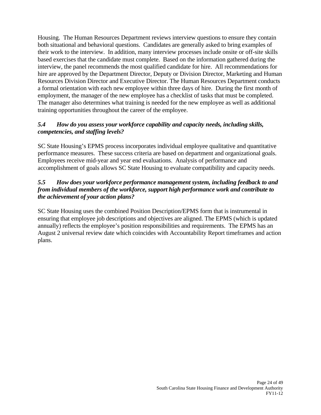Housing. The Human Resources Department reviews interview questions to ensure they contain both situational and behavioral questions. Candidates are generally asked to bring examples of their work to the interview. In addition, many interview processes include onsite or off-site skills based exercises that the candidate must complete. Based on the information gathered during the interview, the panel recommends the most qualified candidate for hire. All recommendations for hire are approved by the Department Director, Deputy or Division Director, Marketing and Human Resources Division Director and Executive Director. The Human Resources Department conducts a formal orientation with each new employee within three days of hire. During the first month of employment, the manager of the new employee has a checklist of tasks that must be completed. The manager also determines what training is needed for the new employee as well as additional training opportunities throughout the career of the employee.

#### *5.4 How do you assess your workforce capability and capacity needs, including skills, competencies, and staffing levels?*

SC State Housing's EPMS process incorporates individual employee qualitative and quantitative performance measures. These success criteria are based on department and organizational goals. Employees receive mid-year and year end evaluations. Analysis of performance and accomplishment of goals allows SC State Housing to evaluate compatibility and capacity needs.

#### *5.5 How does your workforce performance management system, including feedback to and from individual members of the workforce, support high performance work and contribute to the achievement of your action plans?*

SC State Housing uses the combined Position Description/EPMS form that is instrumental in ensuring that employee job descriptions and objectives are aligned. The EPMS (which is updated annually) reflects the employee's position responsibilities and requirements. The EPMS has an August 2 universal review date which coincides with Accountability Report timeframes and action plans.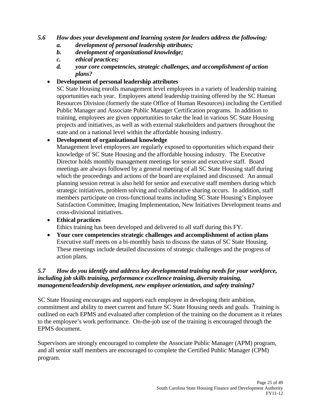#### *5.6 How does your development and learning system for leaders address the following:*

- *a. development of personal leadership attributes;*
- *b. development of organizational knowledge;*
- *c. ethical practices;*
- *d. your core competencies, strategic challenges, and accomplishment of action plans?*

#### **Development of personal leadership attributes**

SC State Housing enrolls management level employees in a variety of leadership training opportunities each year. Employees attend leadership training offered by the SC Human Resources Division (formerly the state Office of Human Resources) including the Certified Public Manager and Associate Public Manager Certification programs. In addition to training, employees are given opportunities to take the lead in various SC State Housing projects and initiatives, as well as with external stakeholders and partners throughout the state and on a national level within the affordable housing industry.

#### **Development of organizational knowledge**

Management level employees are regularly exposed to opportunities which expand their knowledge of SC State Housing and the affordable housing industry. The Executive Director holds monthly management meetings for senior and executive staff. Board meetings are always followed by a general meeting of all SC State Housing staff during which the proceedings and actions of the board are explained and discussed. An annual planning session retreat is also held for senior and executive staff members during which strategic initiatives, problem solving and collaborative sharing occurs. In addition, staff members participate on cross-functional teams including SC State Housing's Employee Satisfaction Committee, Imaging Implementation, New Initiatives Development teams and cross-divisional initiatives.

#### **Ethical practices**

Ethics training has been developed and delivered to all staff during this FY.

 **Your core competencies strategic challenges and accomplishment of action plans**  Executive staff meets on a bi-monthly basis to discuss the status of SC State Housing. These meetings include detailed discussions of strategic challenges and the progress of action plans.

#### *5.7 How do you identify and address key developmental training needs for your workforce, including job skills training, performance excellence training, diversity training, management/leadership development, new employee orientation, and safety training?*

SC State Housing encourages and supports each employee in developing their ambition, commitment and ability to meet current and future SC State Housing needs and goals. Training is outlined on each EPMS and evaluated after completion of the training on the document as it relates to the employee's work performance. On-the-job use of the training is encouraged through the EPMS document.

Supervisors are strongly encouraged to complete the Associate Public Manager (APM) program, and all senior staff members are encouraged to complete the Certified Public Manager (CPM) program.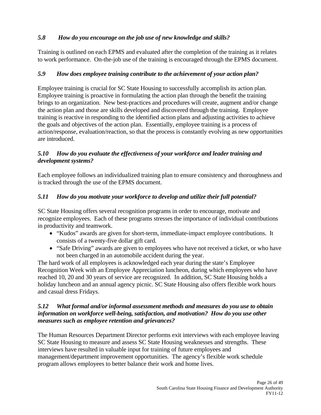### *5.8 How do you encourage on the job use of new knowledge and skills?*

Training is outlined on each EPMS and evaluated after the completion of the training as it relates to work performance. On-the-job use of the training is encouraged through the EPMS document.

#### *5.9 How does employee training contribute to the achievement of your action plan?*

Employee training is crucial for SC State Housing to successfully accomplish its action plan. Employee training is proactive in formulating the action plan through the benefit the training brings to an organization. New best-practices and procedures will create, augment and/or change the action plan and those are skills developed and discovered through the training. Employee training is reactive in responding to the identified action plans and adjusting activities to achieve the goals and objectives of the action plan. Essentially, employee training is a process of action/response, evaluation/reaction, so that the process is constantly evolving as new opportunities are introduced.

#### *5.10 How do you evaluate the effectiveness of your workforce and leader training and development systems?*

Each employee follows an individualized training plan to ensure consistency and thoroughness and is tracked through the use of the EPMS document.

#### *5.11 How do you motivate your workforce to develop and utilize their full potential?*

SC State Housing offers several recognition programs in order to encourage, motivate and recognize employees. Each of these programs stresses the importance of individual contributions in productivity and teamwork.

- "Kudos" awards are given for short-term, immediate-impact employee contributions. It consists of a twenty-five dollar gift card.
- "Safe Driving" awards are given to employees who have not received a ticket, or who have not been charged in an automobile accident during the year.

The hard work of all employees is acknowledged each year during the state's Employee Recognition Week with an Employee Appreciation luncheon, during which employees who have reached 10, 20 and 30 years of service are recognized. In addition, SC State Housing holds a holiday luncheon and an annual agency picnic. SC State Housing also offers flexible work hours and casual dress Fridays.

#### *5.12 What formal and/or informal assessment methods and measures do you use to obtain information on workforce well-being, satisfaction, and motivation? How do you use other measures such as employee retention and grievances?*

The Human Resources Department Director performs exit interviews with each employee leaving SC State Housing to measure and assess SC State Housing weaknesses and strengths. These interviews have resulted in valuable input for training of future employees and management/department improvement opportunities. The agency's flexible work schedule program allows employees to better balance their work and home lives.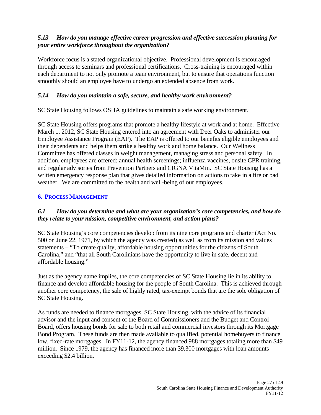#### *5.13 How do you manage effective career progression and effective succession planning for your entire workforce throughout the organization?*

Workforce focus is a stated organizational objective. Professional development is encouraged through access to seminars and professional certifications. Cross-training is encouraged within each department to not only promote a team environment, but to ensure that operations function smoothly should an employee have to undergo an extended absence from work.

#### *5.14 How do you maintain a safe, secure, and healthy work environment?*

SC State Housing follows OSHA guidelines to maintain a safe working environment.

SC State Housing offers programs that promote a healthy lifestyle at work and at home. Effective March 1, 2012, SC State Housing entered into an agreement with Deer Oaks to administer our Employee Assistance Program (EAP). The EAP is offered to our benefits eligible employees and their dependents and helps them strike a healthy work and home balance. Our Wellness Committee has offered classes in weight management, managing stress and personal safety. In addition, employees are offered: annual health screenings; influenza vaccines, onsite CPR training, and regular advisories from Prevention Partners and CIGNA VitaMin. SC State Housing has a written emergency response plan that gives detailed information on actions to take in a fire or bad weather. We are committed to the health and well-being of our employees.

#### **6. PROCESS MANAGEMENT**

#### *6.1 How do you determine and what are your organization's core competencies, and how do they relate to your mission, competitive environment, and action plans?*

SC State Housing's core competencies develop from its nine core programs and charter (Act No. 500 on June 22, 1971, by which the agency was created) as well as from its mission and values statements – "To create quality, affordable housing opportunities for the citizens of South Carolina," and "that all South Carolinians have the opportunity to live in safe, decent and affordable housing."

Just as the agency name implies, the core competencies of SC State Housing lie in its ability to finance and develop affordable housing for the people of South Carolina. This is achieved through another core competency, the sale of highly rated, tax-exempt bonds that are the sole obligation of SC State Housing.

As funds are needed to finance mortgages, SC State Housing, with the advice of its financial advisor and the input and consent of the Board of Commissioners and the Budget and Control Board, offers housing bonds for sale to both retail and commercial investors through its Mortgage Bond Program. These funds are then made available to qualified, potential homebuyers to finance low, fixed-rate mortgages. In FY11-12, the agency financed 988 mortgages totaling more than \$49 million. Since 1979, the agency has financed more than 39,300 mortgages with loan amounts exceeding \$2.4 billion.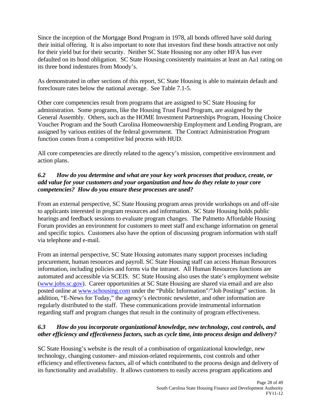Since the inception of the Mortgage Bond Program in 1978, all bonds offered have sold during their initial offering. It is also important to note that investors find these bonds attractive not only for their yield but for their security. Neither SC State Housing nor any other HFA has ever defaulted on its bond obligation. SC State Housing consistently maintains at least an Aa1 rating on its three bond indentures from Moody's.

As demonstrated in other sections of this report, SC State Housing is able to maintain default and foreclosure rates below the national average. See Table 7.1-5.

Other core competencies result from programs that are assigned to SC State Housing for administration. Some programs, like the Housing Trust Fund Program, are assigned by the General Assembly. Others, such as the HOME Investment Partnerships Program, Housing Choice Voucher Program and the South Carolina Homeownership Employment and Lending Program, are assigned by various entities of the federal government. The Contract Administration Program function comes from a competitive bid process with HUD.

All core competencies are directly related to the agency's mission, competitive environment and action plans.

#### *6.2 How do you determine and what are your key work processes that produce, create, or add value for your customers and your organization and how do they relate to your core competencies? How do you ensure these processes are used?*

From an external perspective, SC State Housing program areas provide workshops on and off-site to applicants interested in program resources and information. SC State Housing holds public hearings and feedback sessions to evaluate program changes. The Palmetto Affordable Housing Forum provides an environment for customers to meet staff and exchange information on general and specific topics. Customers also have the option of discussing program information with staff via telephone and e-mail.

From an internal perspective, SC State Housing automates many support processes including procurement, human resources and payroll. SC State Housing staff can access Human Resources information, including policies and forms via the intranet. All Human Resources functions are automated and accessible via SCEIS. SC State Housing also uses the state's employment website (www.jobs.sc.gov). Career opportunities at SC State Housing are shared via email and are also posted online at www.schousing.com under the "Public Information"/"Job Postings" section. In addition, "E-News for Today," the agency's electronic newsletter, and other information are regularly distributed to the staff. These communications provide instrumental information regarding staff and program changes that result in the continuity of program effectiveness.

#### *6.3 How do you incorporate organizational knowledge, new technology, cost controls, and other efficiency and effectiveness factors, such as cycle time, into process design and delivery?*

SC State Housing's website is the result of a combination of organizational knowledge, new technology, changing customer- and mission-related requirements, cost controls and other efficiency and effectiveness factors, all of which contributed to the process design and delivery of its functionality and availability. It allows customers to easily access program applications and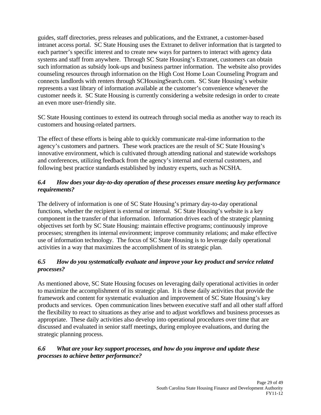guides, staff directories, press releases and publications, and the Extranet, a customer-based intranet access portal. SC State Housing uses the Extranet to deliver information that is targeted to each partner's specific interest and to create new ways for partners to interact with agency data systems and staff from anywhere. Through SC State Housing's Extranet, customers can obtain such information as subsidy look-ups and business partner information. The website also provides counseling resources through information on the High Cost Home Loan Counseling Program and connects landlords with renters through SCHousingSearch.com. SC State Housing's website represents a vast library of information available at the customer's convenience whenever the customer needs it. SC State Housing is currently considering a website redesign in order to create an even more user-friendly site.

SC State Housing continues to extend its outreach through social media as another way to reach its customers and housing-related partners.

The effect of these efforts is being able to quickly communicate real-time information to the agency's customers and partners. These work practices are the result of SC State Housing's innovative environment, which is cultivated through attending national and statewide workshops and conferences, utilizing feedback from the agency's internal and external customers, and following best practice standards established by industry experts, such as NCSHA.

#### *6.4 How does your day-to-day operation of these processes ensure meeting key performance requirements?*

The delivery of information is one of SC State Housing's primary day-to-day operational functions, whether the recipient is external or internal. SC State Housing's website is a key component in the transfer of that information. Information drives each of the strategic planning objectives set forth by SC State Housing: maintain effective programs; continuously improve processes; strengthen its internal environment; improve community relations; and make effective use of information technology. The focus of SC State Housing is to leverage daily operational activities in a way that maximizes the accomplishment of its strategic plan.

#### *6.5 How do you systematically evaluate and improve your key product and service related processes?*

As mentioned above, SC State Housing focuses on leveraging daily operational activities in order to maximize the accomplishment of its strategic plan. It is these daily activities that provide the framework and content for systematic evaluation and improvement of SC State Housing's key products and services. Open communication lines between executive staff and all other staff afford the flexibility to react to situations as they arise and to adjust workflows and business processes as appropriate. These daily activities also develop into operational procedures over time that are discussed and evaluated in senior staff meetings, during employee evaluations, and during the strategic planning process.

#### *6.6 What are your key support processes, and how do you improve and update these processes to achieve better performance?*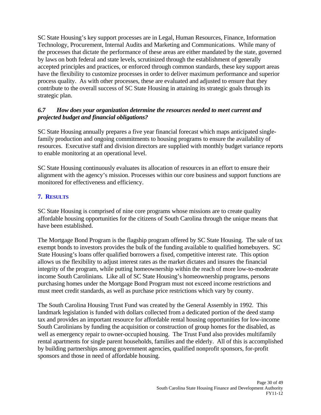SC State Housing's key support processes are in Legal, Human Resources, Finance, Information Technology, Procurement, Internal Audits and Marketing and Communications. While many of the processes that dictate the performance of these areas are either mandated by the state, governed by laws on both federal and state levels, scrutinized through the establishment of generally accepted principles and practices, or enforced through common standards, these key support areas have the flexibility to customize processes in order to deliver maximum performance and superior process quality. As with other processes, these are evaluated and adjusted to ensure that they contribute to the overall success of SC State Housing in attaining its strategic goals through its strategic plan.

#### *6.7 How does your organization determine the resources needed to meet current and projected budget and financial obligations?*

SC State Housing annually prepares a five year financial forecast which maps anticipated singlefamily production and ongoing commitments to housing programs to ensure the availability of resources. Executive staff and division directors are supplied with monthly budget variance reports to enable monitoring at an operational level.

SC State Housing continuously evaluates its allocation of resources in an effort to ensure their alignment with the agency's mission. Processes within our core business and support functions are monitored for effectiveness and efficiency.

#### **7. RESULTS**

SC State Housing is comprised of nine core programs whose missions are to create quality affordable housing opportunities for the citizens of South Carolina through the unique means that have been established.

The Mortgage Bond Program is the flagship program offered by SC State Housing. The sale of tax exempt bonds to investors provides the bulk of the funding available to qualified homebuyers. SC State Housing's loans offer qualified borrowers a fixed, competitive interest rate. This option allows us the flexibility to adjust interest rates as the market dictates and insures the financial integrity of the program, while putting homeownership within the reach of more low-to-moderate income South Carolinians. Like all of SC State Housing's homeownership programs, persons purchasing homes under the Mortgage Bond Program must not exceed income restrictions and must meet credit standards, as well as purchase price restrictions which vary by county.

The South Carolina Housing Trust Fund was created by the General Assembly in 1992. This landmark legislation is funded with dollars collected from a dedicated portion of the deed stamp tax and provides an important resource for affordable rental housing opportunities for low-income South Carolinians by funding the acquisition or construction of group homes for the disabled, as well as emergency repair to owner-occupied housing. The Trust Fund also provides multifamily rental apartments for single parent households, families and the elderly. All of this is accomplished by building partnerships among government agencies, qualified nonprofit sponsors, for-profit sponsors and those in need of affordable housing.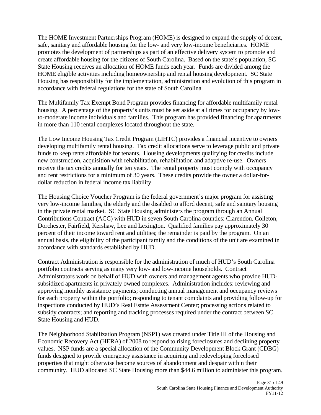The HOME Investment Partnerships Program (HOME) is designed to expand the supply of decent, safe, sanitary and affordable housing for the low- and very low-income beneficiaries. HOME promotes the development of partnerships as part of an effective delivery system to promote and create affordable housing for the citizens of South Carolina. Based on the state's population, SC State Housing receives an allocation of HOME funds each year. Funds are divided among the HOME eligible activities including homeownership and rental housing development. SC State Housing has responsibility for the implementation, administration and evolution of this program in accordance with federal regulations for the state of South Carolina.

The Multifamily Tax Exempt Bond Program provides financing for affordable multifamily rental housing. A percentage of the property's units must be set aside at all times for occupancy by lowto-moderate income individuals and families. This program has provided financing for apartments in more than 110 rental complexes located throughout the state.

The Low Income Housing Tax Credit Program (LIHTC) provides a financial incentive to owners developing multifamily rental housing. Tax credit allocations serve to leverage public and private funds to keep rents affordable for tenants. Housing developments qualifying for credits include new construction, acquisition with rehabilitation, rehabilitation and adaptive re-use. Owners receive the tax credits annually for ten years. The rental property must comply with occupancy and rent restrictions for a minimum of 30 years. These credits provide the owner a dollar-fordollar reduction in federal income tax liability.

The Housing Choice Voucher Program is the federal government's major program for assisting very low-income families, the elderly and the disabled to afford decent, safe and sanitary housing in the private rental market. SC State Housing administers the program through an Annual Contributions Contract (ACC) with HUD in seven South Carolina counties: Clarendon, Colleton, Dorchester, Fairfield, Kershaw, Lee and Lexington. Qualified families pay approximately 30 percent of their income toward rent and utilities; the remainder is paid by the program. On an annual basis, the eligibility of the participant family and the conditions of the unit are examined in accordance with standards established by HUD.

Contract Administration is responsible for the administration of much of HUD's South Carolina portfolio contracts serving as many very low- and low-income households. Contract Administrators work on behalf of HUD with owners and management agents who provide HUDsubsidized apartments in privately owned complexes. Administration includes: reviewing and approving monthly assistance payments; conducting annual management and occupancy reviews for each property within the portfolio; responding to tenant complaints and providing follow-up for inspections conducted by HUD's Real Estate Assessment Center; processing actions related to subsidy contracts; and reporting and tracking processes required under the contract between SC State Housing and HUD.

The Neighborhood Stabilization Program (NSP1) was created under Title III of the Housing and Economic Recovery Act (HERA) of 2008 to respond to rising foreclosures and declining property values. NSP funds are a special allocation of the Community Development Block Grant (CDBG) funds designed to provide emergency assistance in acquiring and redeveloping foreclosed properties that might otherwise become sources of abandonment and despair within their community. HUD allocated SC State Housing more than \$44.6 million to administer this program.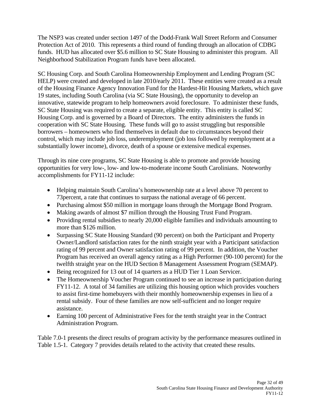The NSP3 was created under section 1497 of the Dodd-Frank Wall Street Reform and Consumer Protection Act of 2010. This represents a third round of funding through an allocation of CDBG funds. HUD has allocated over \$5.6 million to SC State Housing to administer this program. All Neighborhood Stabilization Program funds have been allocated.

SC Housing Corp. and South Carolina Homeownership Employment and Lending Program (SC HELP) were created and developed in late 2010/early 2011. These entities were created as a result of the Housing Finance Agency Innovation Fund for the Hardest-Hit Housing Markets, which gave 19 states, including South Carolina (via SC State Housing), the opportunity to develop an innovative, statewide program to help homeowners avoid foreclosure. To administer these funds, SC State Housing was required to create a separate, eligible entity. This entity is called SC Housing Corp. and is governed by a Board of Directors. The entity administers the funds in cooperation with SC State Housing. These funds will go to assist struggling but responsible borrowers – homeowners who find themselves in default due to circumstances beyond their control, which may include job loss, underemployment (job loss followed by reemployment at a substantially lower income), divorce, death of a spouse or extensive medical expenses.

Through its nine core programs, SC State Housing is able to promote and provide housing opportunities for very low-, low- and low-to-moderate income South Carolinians. Noteworthy accomplishments for FY11-12 include:

- Helping maintain South Carolina's homeownership rate at a level above 70 percent to 73percent, a rate that continues to surpass the national average of 66 percent.
- Purchasing almost \$50 million in mortgage loans through the Mortgage Bond Program.
- Making awards of almost \$7 million through the Housing Trust Fund Program.
- Providing rental subsidies to nearly 20,000 eligible families and individuals amounting to more than \$126 million.
- Surpassing SC State Housing Standard (90 percent) on both the Participant and Property Owner/Landlord satisfaction rates for the ninth straight year with a Participant satisfaction rating of 99 percent and Owner satisfaction rating of 99 percent. In addition, the Voucher Program has received an overall agency rating as a High Performer (90-100 percent) for the twelfth straight year on the HUD Section 8 Management Assessment Program (SEMAP).
- Being recognized for 13 out of 14 quarters as a HUD Tier 1 Loan Servicer.
- The Homeownership Voucher Program continued to see an increase in participation during FY11-12. A total of 34 families are utilizing this housing option which provides vouchers to assist first-time homebuyers with their monthly homeownership expenses in lieu of a rental subsidy. Four of these families are now self-sufficient and no longer require assistance.
- Earning 100 percent of Administrative Fees for the tenth straight year in the Contract Administration Program.

Table 7.0-1 presents the direct results of program activity by the performance measures outlined in Table 1.5-1. Category 7 provides details related to the activity that created these results.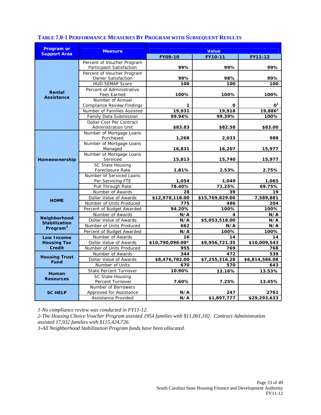| <b>Program or</b>    | <b>Measure</b>                                         | <b>Value</b>     |                 |                |  |
|----------------------|--------------------------------------------------------|------------------|-----------------|----------------|--|
| <b>Support Area</b>  |                                                        | <b>FY09-10</b>   | FY10-11         | FY11-12        |  |
|                      | Percent of Voucher Program                             |                  |                 |                |  |
|                      | Participant Satisfaction                               | 99%              | 99%             | 99%            |  |
|                      | Percent of Voucher Program                             |                  |                 |                |  |
|                      | Owner Satisfaction                                     | 99%              | 98%             | 99%            |  |
|                      | <b>HUD SEMAP Score</b>                                 | 100              | 100             | 100            |  |
| Rental               | Percent of Administrative                              |                  |                 |                |  |
| <b>Assistance</b>    | Fees Earned                                            | 100%             | 100%            | 100%           |  |
|                      | Number of Annual                                       |                  |                 |                |  |
|                      | <b>Compliance Review Findings</b>                      | 1                | 0               | $\mathbf{O}^1$ |  |
|                      | Number of Families Assisted                            | 19,931           | 19,918          | $19,886^2$     |  |
|                      | Family Data Submission                                 | 99.94%           | 99.39%          | 100%           |  |
|                      | Dollar Cost Per Contract<br><b>Administration Unit</b> | \$83.83          | \$82.58         | \$83.00        |  |
|                      | Number of Mortgage Loans                               |                  |                 |                |  |
|                      | Purchased                                              | 1,268            | 2,033           | 988            |  |
|                      | Number of Mortgage Loans                               |                  |                 |                |  |
| Homeownership        | Managed                                                | 16,831           | 16,207          | 15,977         |  |
|                      | Number of Mortgage Loans                               |                  |                 |                |  |
|                      | Serviced                                               | 15,813           | 15,740          | 15,977         |  |
|                      | SC State Housing                                       |                  |                 |                |  |
|                      | Foreclosure Rate                                       | 1.81%            | 2.53%           | 2.75%          |  |
|                      | Number of Serviced Loans                               |                  |                 |                |  |
|                      | Per Servicing FTE                                      | 1,054            | 1,049           | 1,065          |  |
|                      | Pull Through Rate                                      | 78.40%           | 71.25%          | 69.75%         |  |
|                      | Number of Awards                                       | 28               | 39              | 19             |  |
| <b>HOME</b>          | Dollar Value of Awards                                 | \$12,978,118.00  | \$15,769,829.00 | 7,589,881      |  |
|                      | Number of Units Produced                               | 775              | 496             | 204            |  |
|                      | Percent of Budget Awarded                              | 94.20%           | 100%            | 100%           |  |
| <b>Neighborhood</b>  | Number of Awards                                       | N/A              | 4               | N/A            |  |
| <b>Stabilization</b> | Dollar Value of Awards                                 | N/A              | \$5,053,518.00  | N/A            |  |
| Program <sup>3</sup> | Number of Units Produced                               | 662              | N/A             | N/A            |  |
|                      | Percent of Budget Awarded                              | N/A              | 100%            | 100%           |  |
| <b>Low Income</b>    | Number of Awards                                       | 16               | 14              | 14             |  |
| <b>Housing Tax</b>   | Dollar Value of Awards                                 | \$10,790,096.00* | \$9,956,721.35  | \$10,009,543   |  |
| <b>Credit</b>        | Number of Units Produced                               | 955              | 769             | 768            |  |
| <b>Housing Trust</b> | Number of Awards                                       | 344              | 472             | 539            |  |
| <b>Fund</b>          | Dollar Value of Awards                                 | \$8,476,782.00   | \$7,255,316.28  | \$6,814,586.08 |  |
|                      | Number of Units                                        | 670              | 570             | 643            |  |
| Human                | State Percent Turnover                                 | 10.90%           | 12.16%          | 13.53%         |  |
| <b>Resources</b>     | <b>SC State Housing</b>                                |                  |                 |                |  |
|                      | Percent Turnover                                       | 7.60%            | 7.25%           | 13.45%         |  |
|                      | Number of Borrowers                                    |                  |                 |                |  |
| <b>SC HELP</b>       | Approved for Assistance                                | N/A              | 247             | 2761           |  |
|                      | Assistance Provided                                    | N/A              | \$1,897,777     | \$29,293,633   |  |

#### **TABLE 7.0-1 PERFORMANCE MEASURES BY PROGRAM WITH SUBSEQUENT RESULTS**

*1-No compliance review was conducted in FY11-12.* 

*2-The Housing Choice Voucher Program assisted 1954 families with \$11,001,102. Contract Administration assisted 17,932 families with \$115,424,726.* 

*3-All Neighborhood Stabilization Program funds have been allocated.*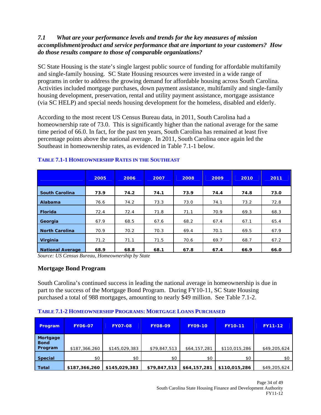#### *7.1 What are your performance levels and trends for the key measures of mission accomplishment/product and service performance that are important to your customers? How do those results compare to those of comparable organizations?*

SC State Housing is the state's single largest public source of funding for affordable multifamily and single-family housing. SC State Housing resources were invested in a wide range of programs in order to address the growing demand for affordable housing across South Carolina. Activities included mortgage purchases, down payment assistance, multifamily and single-family housing development, preservation, rental and utility payment assistance, mortgage assistance (via SC HELP) and special needs housing development for the homeless, disabled and elderly.

According to the most recent US Census Bureau data, in 2011, South Carolina had a homeownership rate of 73.0. This is significantly higher than the national average for the same time period of 66.0. In fact, for the past ten years, South Carolina has remained at least five percentage points above the national average. In 2011, South Carolina once again led the Southeast in homeownership rates, as evidenced in Table 7.1-1 below.

|                         | 2005 | 2006 | 2007 | 2008 | 2009 | 2010 | 2011 |
|-------------------------|------|------|------|------|------|------|------|
| <b>South Carolina</b>   | 73.9 | 74.2 | 74.1 | 73.9 | 74.4 | 74.8 | 73.0 |
| Alabama                 | 76.6 | 74.2 | 73.3 | 73.0 | 74.1 | 73.2 | 72.8 |
| Florida                 | 72.4 | 72.4 | 71.8 | 71.1 | 70.9 | 69.3 | 68.3 |
| Georgia                 | 67.9 | 68.5 | 67.6 | 68.2 | 67.4 | 67.1 | 65.4 |
| <b>North Carolina</b>   | 70.9 | 70.2 | 70.3 | 69.4 | 70.1 | 69.5 | 67.9 |
| Virginia                | 71.2 | 71.1 | 71.5 | 70.6 | 69.7 | 68.7 | 67.2 |
| <b>National Average</b> | 68.9 | 68.8 | 68.1 | 67.8 | 67.4 | 66.9 | 66.0 |

#### **TABLE 7.1-1 HOMEOWNERSHIP RATES IN THE SOUTHEAST**

*Source: US Census Bureau, Homeownership by State* 

#### **Mortgage Bond Program**

South Carolina's continued success in leading the national average in homeownership is due in part to the success of the Mortgage Bond Program. During FY10-11, SC State Housing purchased a total of 988 mortgages, amounting to nearly \$49 million. See Table 7.1-2.

#### **TABLE 7.1-2 HOMEOWNERSHIP PROGRAMS: MORTGAGE LOANS PURCHASED**

| <b>Program</b>                     | <b>FY06-07</b> | <b>FY07-08</b> | <b>FY08-09</b> | <b>FY09-10</b> | <b>FY10-11</b> | FY11-12      |
|------------------------------------|----------------|----------------|----------------|----------------|----------------|--------------|
| Mortgage<br><b>Bond</b><br>Program | \$187,366,260  | \$145,029,383  | \$79,847,513   | \$64,157,281   | \$110,015,286  | \$49,205,624 |
| <b>Special</b>                     | \$0            | \$0            | \$0            | \$0            | \$0            | \$0          |
| <b>Total</b>                       | \$187,366,260  | \$145,029,383  | \$79,847,513   | \$64,157,281   | \$110,015,286  | \$49,205,624 |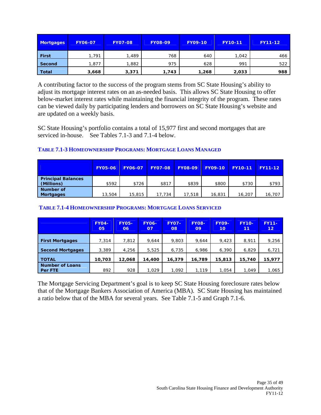| <b>Mortgages</b> | <b>FY06-07</b> | <b>FY07-08</b> | <b>FY08-09</b> | <b>FY09-10</b> | <b>FY10-11</b> | <b>FY11-12</b> |
|------------------|----------------|----------------|----------------|----------------|----------------|----------------|
| <b>First</b>     | .791           | 489, ا         | 768            | 640            | 1,042          | 466            |
| Second           | 877, ا         | 1,882          | 975            | 628            | 991            | 522            |
| <b>Total</b>     | 3,668          | 3,371          | 1,743          | 1,268          | 2,033          | 988            |

A contributing factor to the success of the program stems from SC State Housing's ability to adjust its mortgage interest rates on an as-needed basis. This allows SC State Housing to offer below-market interest rates while maintaining the financial integrity of the program. These rates can be viewed daily by participating lenders and borrowers on SC State Housing's website and are updated on a weekly basis.

SC State Housing's portfolio contains a total of 15,977 first and second mortgages that are serviced in-house. See Tables 7.1-3 and 7.1-4 below.

#### **TABLE 7.1-3 HOMEOWNERSHIP PROGRAMS: MORTGAGE LOANS MANAGED**

|                                         | <b>FY05-06</b> | <b>FY06-07</b> | <b>FY07-08</b> | <b>FY08-09</b> | <b>FY09-10</b> | <b>FY10-11</b> | <b>FY11-12</b> |
|-----------------------------------------|----------------|----------------|----------------|----------------|----------------|----------------|----------------|
| <b>Principal Balances</b><br>(Millions) | \$592          | \$726          | \$817          | \$839          | \$800          | \$730          | \$793          |
| Number of<br><b>Mortgages</b>           | 13,504         | 15,815         | 17.734         | 17,518         | 16,831         | 16,207         | 16,707         |

#### **TABLE 7.1-4 HOMEOWNERSHIP PROGRAMS: MORTGAGE LOANS SERVICED**

|                                   | <b>FY04-</b><br>05 | <b>FY05-</b><br>06 | <b>FY06-</b><br>07 | <b>FY07-</b><br>08 | <b>FY08-</b><br>09 | <b>FY09-</b><br>10 <sup>°</sup> | <b>FY10-</b><br>11 | <b>FY11-</b><br>12 <sub>2</sub> |
|-----------------------------------|--------------------|--------------------|--------------------|--------------------|--------------------|---------------------------------|--------------------|---------------------------------|
| <b>First Mortgages</b>            | 7,314              | 7,812              | 9,644              | 9,803              | 9,644              | 9,423                           | 8,911              | 9,256                           |
| <b>Second Mortgages</b>           | 3,389              | 4,256              | 5,525              | 6,735              | 6,986              | 6,390                           | 6,829              | 6,721                           |
| <b>TOTAL</b>                      | 10,703             | 12,068             | 14,400             | 16,379             | 16,789             | 15,813                          | 15,740             | 15,977                          |
| <b>Number of Loans</b><br>Per FTE | 892                | 928                | 1.029              | 1.092              | 1.119              | 1,054                           | 1.049              | 1,065                           |

The Mortgage Servicing Department's goal is to keep SC State Housing foreclosure rates below that of the Mortgage Bankers Association of America (MBA). SC State Housing has maintained a ratio below that of the MBA for several years. See Table 7.1-5 and Graph 7.1-6.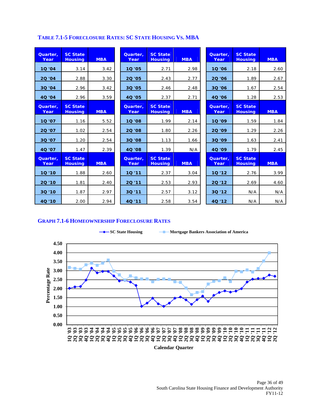#### **TABLE 7.1-5 FORECLOSURE RATES: SC STATE HOUSING VS. MBA**

| Quarter,<br>Year | <b>SC State</b><br><b>Housing</b> | <b>MBA</b> | Quarter.<br>Year | <b>SC State</b><br><b>Housing</b> | <b>MBA</b> | Quarter.<br>Year | <b>SC State</b><br><b>Housing</b> | <b>MBA</b> |
|------------------|-----------------------------------|------------|------------------|-----------------------------------|------------|------------------|-----------------------------------|------------|
| 10 '04           | 3.14                              | 3.42       | 10 '05           | 2.71                              | 2.98       | 10 '06           | 2.18                              | 2.60       |
| 20 '04           | 2.88                              | 3.30       | 20 '05           | 2.43                              | 2.77       | 20 '06           | 1.89                              | 2.67       |
| 30 '04           | 2.96                              | 3.42       | 30 '05           | 2.46                              | 2.48       | 30'06            | 1.67                              | 2.54       |
| 40 '04           | 2.96                              | 3.59       | 4Q '05           | 2.37                              | 2.71       | 40'06            | 1.28                              | 2.53       |
| Quarter,<br>Year | <b>SC State</b><br><b>Housing</b> | <b>MBA</b> | Quarter,<br>Year | <b>SC State</b><br><b>Housing</b> | <b>MBA</b> | Quarter,<br>Year | <b>SC State</b><br><b>Housing</b> | <b>MBA</b> |
| 10'07            | 1.16                              | 5.52       | 10 '08           | 1.99                              | 2.14       | 10 '09           | 1.59                              | 1.84       |
| 20 '07           | 1.02                              | 2.54       | 20 '08           | 1.80                              | 2.26       | 20 '09           | 1.29                              | 2.26       |
| 30 '07           | 1.20                              | 2.54       | 30 '08           | 1.13                              | 1.66       | 30 '09           | 1.63                              | 2.41       |
| 4Q '07           | 1.47                              | 2.39       | 40 '08           | 1.39                              | N/A        | 4Q '09           | 1.79                              | 2.45       |
| Quarter.<br>Year | <b>SC State</b><br><b>Housing</b> | <b>MBA</b> | Quarter.<br>Year | <b>SC State</b><br><b>Housing</b> | <b>MBA</b> | Quarter.<br>Year | <b>SC State</b><br><b>Housing</b> | <b>MBA</b> |
| $10'$ '10        | 1.88                              | 2.60       | 10 '11           | 2.37                              | 3.04       | 10 '12           | 2.76                              | 3.99       |
| 20 '10           | 1.81                              | 2.40       | 20'11            | 2.53                              | 2.93       | 20'12            | 2.69                              | 4.60       |
| 30 '10           | 1.87                              | 2.97       | 3Q '11           | 2.57                              | 3.12       | 30 '12           | N/A                               | N/A        |
| 40 '10           | 2.00                              | 2.94       | 4Q '11           | 2.58                              | 3.54       | 40 '12           | N/A                               | N/A        |

#### **GRAPH 7.1-6 HOMEOWNERSHIP FORECLOSURE RATES**

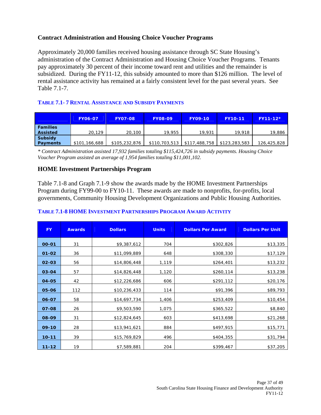#### **Contract Administration and Housing Choice Voucher Programs**

Approximately 20,000 families received housing assistance through SC State Housing's administration of the Contract Administration and Housing Choice Voucher Programs. Tenants pay approximately 30 percent of their income toward rent and utilities and the remainder is subsidized. During the FY11-12, this subsidy amounted to more than \$126 million. The level of rental assistance activity has remained at a fairly consistent level for the past several years. See Table 7.1-7.

#### **TABLE 7.1- 7 RENTAL ASSISTANCE AND SUBSIDY PAYMENTS**

|                 | <b>FY06-07</b> | <b>FY07-08</b> | <b>FY08-09</b> | <b>FY09-10</b> | <b>FY10-11</b> | $FY11-12*$  |
|-----------------|----------------|----------------|----------------|----------------|----------------|-------------|
| <b>Families</b> |                |                |                |                |                |             |
| <b>Assisted</b> | 20.129         | 20,100         | 19,955         | 19,931         | 19,918         | 19,886      |
| <b>Subsidy</b>  |                |                |                |                |                |             |
| <b>Payments</b> | \$101,166,688  | \$105,232,876  | \$110,703,513  | \$117,488,758  | \$123,283,583  | 126,425,828 |

*\* Contract Administration assisted 17,932 families totaling \$115,424,726 in subsidy payments. Housing Choice Voucher Program assisted an average of 1,954 families totaling \$11,001,102.* 

#### **HOME Investment Partnerships Program**

Table 7.1-8 and Graph 7.1-9 show the awards made by the HOME Investment Partnerships Program during FY99-00 to FY10-11. These awards are made to nonprofits, for-profits, local governments, Community Housing Development Organizations and Public Housing Authorities.

| <b>FY</b> | <b>Awards</b> | <b>Dollars</b> | <b>Units</b> | <b>Dollars Per Award</b> | <b>Dollars Per Unit</b> |
|-----------|---------------|----------------|--------------|--------------------------|-------------------------|
| 00-01     | 31            | \$9,387,612    | 704          | \$302,826                | \$13,335                |
| $01 - 02$ | 36            | \$11,099,889   | 648          | \$308,330                | \$17,129                |
| 02-03     | 56            | \$14,806,448   | 1,119        | \$264,401                | \$13,232                |
| 03-04     | 57            | \$14,826,448   | 1,120        | \$260,114                | \$13,238                |
| 04-05     | 42            | \$12,226,686   | 606          | \$291,112                | \$20,176                |
| 05-06     | 112           | \$10,236,433   | 114          | \$91,396                 | \$89,793                |
| 06-07     | 58            | \$14,697,734   | 1,406        | \$253,409                | \$10,454                |
| 07-08     | 26            | \$9,503,590    | 1,075        | \$365,522                | \$8,840                 |
| 08-09     | 31            | \$12,824,645   | 603          | \$413,698                | \$21,268                |
| $09-10$   | 28            | \$13,941,621   | 884          | \$497,915                | \$15,771                |
| $10 - 11$ | 39            | \$15,769,829   | 496          | \$404,355                | \$31,794                |
| $11 - 12$ | 19            | \$7,589,881    | 204          | \$399,467                | \$37,205                |

#### **TABLE 7.1-8 HOME INVESTMENT PARTNERSHIPS PROGRAM AWARD ACTIVITY**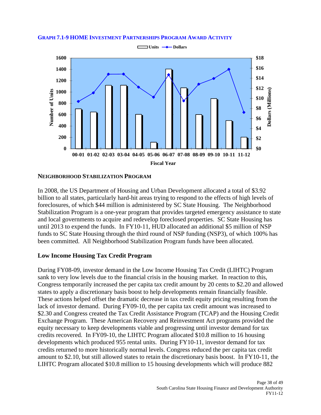#### **GRAPH 7.1-9 HOME INVESTMENT PARTNERSHIPS PROGRAM AWARD ACTIVITY**



#### **NEIGHBORHOOD STABILIZATION PROGRAM**

In 2008, the US Department of Housing and Urban Development allocated a total of \$3.92 billion to all states, particularly hard-hit areas trying to respond to the effects of high levels of foreclosures, of which \$44 million is administered by SC State Housing. The Neighborhood Stabilization Program is a one-year program that provides targeted emergency assistance to state and local governments to acquire and redevelop foreclosed properties. SC State Housing has until 2013 to expend the funds. In FY10-11, HUD allocated an additional \$5 million of NSP funds to SC State Housing through the third round of NSP funding (NSP3), of which 100% has been committed. All Neighborhood Stabilization Program funds have been allocated.

#### **Low Income Housing Tax Credit Program**

During FY08-09, investor demand in the Low Income Housing Tax Credit (LIHTC) Program sank to very low levels due to the financial crisis in the housing market. In reaction to this, Congress temporarily increased the per capita tax credit amount by 20 cents to \$2.20 and allowed states to apply a discretionary basis boost to help developments remain financially feasible. These actions helped offset the dramatic decrease in tax credit equity pricing resulting from the lack of investor demand. During FY09-10, the per capita tax credit amount was increased to \$2.30 and Congress created the Tax Credit Assistance Program (TCAP) and the Housing Credit Exchange Program. These American Recovery and Reinvestment Act programs provided the equity necessary to keep developments viable and progressing until investor demand for tax credits recovered. In FY09-10, the LIHTC Program allocated \$10.8 million to 16 housing developments which produced 955 rental units. During FY10-11, investor demand for tax credits returned to more historically normal levels. Congress reduced the per capita tax credit amount to \$2.10, but still allowed states to retain the discretionary basis boost. In FY10-11, the LIHTC Program allocated \$10.8 million to 15 housing developments which will produce 882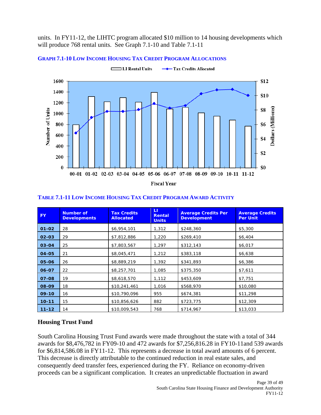units. In FY11-12, the LIHTC program allocated \$10 million to 14 housing developments which will produce 768 rental units. See Graph 7.1-10 and Table 7.1-11



#### **GRAPH 7.1-10 LOW INCOME HOUSING TAX CREDIT PROGRAM ALLOCATIONS**

| FY.       | <b>Number of</b><br><b>Developments</b> | <b>Tax Credits</b><br><b>Allocated</b> | Ш<br>Rental<br><b>Units</b> | <b>Average Credits Per</b><br><b>Development</b> | <b>Average Credits</b><br><b>Per Unit</b> |
|-----------|-----------------------------------------|----------------------------------------|-----------------------------|--------------------------------------------------|-------------------------------------------|
| $01 - 02$ | 28                                      | \$6,954,101                            | 1,312                       | \$248,360                                        | \$5,300                                   |
| $02 - 03$ | 29                                      | \$7,812,886                            | 1,220                       | \$269,410                                        | \$6,404                                   |
| $03 - 04$ | 25                                      | \$7,803,567                            | 1,297                       | \$312,143                                        | \$6,017                                   |
| 04-05     | 21                                      | \$8,045,471                            | 1,212                       | \$383,118                                        | \$6,638                                   |
| 05-06     | 26                                      | \$8,889,219                            | 1,392                       | \$341,893                                        | \$6,386                                   |
| 06-07     | 22                                      | \$8,257,701                            | 1,085                       | \$375,350                                        | \$7,611                                   |
| 07-08     | 19                                      | \$8,618,570                            | 1,112                       | \$453,609                                        | \$7,751                                   |
| 08-09     | 18                                      | \$10,241,461                           | 1,016                       | \$568,970                                        | \$10,080                                  |
| $09-10$   | 16                                      | \$10,790,096                           | 955                         | \$674,381                                        | \$11,298                                  |
| $10 - 11$ | 15                                      | \$10,856,626                           | 882                         | \$723,775                                        | \$12,309                                  |
| $11 - 12$ | 14                                      | \$10,009,543                           | 768                         | \$714,967                                        | \$13,033                                  |

#### **TABLE 7.1-11 LOW INCOME HOUSING TAX CREDIT PROGRAM AWARD ACTIVITY**

#### **Housing Trust Fund**

South Carolina Housing Trust Fund awards were made throughout the state with a total of 344 awards for \$8,476,782 in FY09-10 and 472 awards for \$7,256,816.28 in FY10-11and 539 awards for \$6,814,586.08 in FY11-12. This represents a decrease in total award amounts of 6 percent. This decrease is directly attributable to the continued reduction in real estate sales, and consequently deed transfer fees, experienced during the FY. Reliance on economy-driven proceeds can be a significant complication. It creates an unpredictable fluctuation in award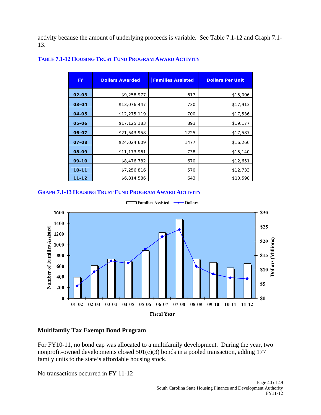activity because the amount of underlying proceeds is variable. See Table 7.1-12 and Graph 7.1- 13.

| <b>FY</b> | <b>Dollars Awarded</b> | <b>Families Assisted</b> | <b>Dollars Per Unit</b> |
|-----------|------------------------|--------------------------|-------------------------|
| $02 - 03$ | \$9,258,977            | 617                      | \$15,006                |
| 03-04     | \$13,076,447           | 730                      | \$17,913                |
| 04-05     | \$12,275,119           | 700                      | \$17,536                |
| 05-06     | \$17,125,183           | 893                      | \$19,177                |
| 06-07     | \$21,543,958           | 1225                     | \$17,587                |
| 07-08     | \$24,024,609           | 1477                     | \$16,266                |
| 08-09     | \$11,173,961           | 738                      | \$15,140                |
| $09-10$   | \$8,476,782            | 670                      | \$12,651                |
| $10 - 11$ | \$7,256,816            | 570                      | \$12,733                |
| $11 - 12$ | \$6,814,586            | 643                      | \$10,598                |

#### **TABLE 7.1-12 HOUSING TRUST FUND PROGRAM AWARD ACTIVITY**

#### **GRAPH 7.1-13 HOUSING TRUST FUND PROGRAM AWARD ACTIVITY**



Families Assisted → Dollars Е

#### **Multifamily Tax Exempt Bond Program**

For FY10-11, no bond cap was allocated to a multifamily development. During the year, two nonprofit-owned developments closed  $501(c)(3)$  bonds in a pooled transaction, adding 177 family units to the state's affordable housing stock.

No transactions occurred in FY 11-12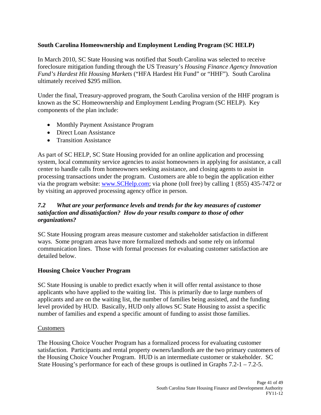#### **South Carolina Homeownership and Employment Lending Program (SC HELP)**

In March 2010, SC State Housing was notified that South Carolina was selected to receive foreclosure mitigation funding through the US Treasury's *Housing Finance Agency Innovation Fund's Hardest Hit Housing Markets* ("HFA Hardest Hit Fund" or "HHF"). South Carolina ultimately received \$295 million.

Under the final, Treasury-approved program, the South Carolina version of the HHF program is known as the SC Homeownership and Employment Lending Program (SC HELP). Key components of the plan include:

- Monthly Payment Assistance Program
- Direct Loan Assistance
- Transition Assistance

As part of SC HELP, SC State Housing provided for an online application and processing system, local community service agencies to assist homeowners in applying for assistance, a call center to handle calls from homeowners seeking assistance, and closing agents to assist in processing transactions under the program. Customers are able to begin the application either via the program website: www.SCHelp.com; via phone (toll free) by calling 1 (855) 435-7472 or by visiting an approved processing agency office in person.

#### *7.2 What are your performance levels and trends for the key measures of customer satisfaction and dissatisfaction? How do your results compare to those of other organizations?*

SC State Housing program areas measure customer and stakeholder satisfaction in different ways. Some program areas have more formalized methods and some rely on informal communication lines. Those with formal processes for evaluating customer satisfaction are detailed below.

#### **Housing Choice Voucher Program**

SC State Housing is unable to predict exactly when it will offer rental assistance to those applicants who have applied to the waiting list. This is primarily due to large numbers of applicants and are on the waiting list, the number of families being assisted, and the funding level provided by HUD. Basically, HUD only allows SC State Housing to assist a specific number of families and expend a specific amount of funding to assist those families.

#### Customers

The Housing Choice Voucher Program has a formalized process for evaluating customer satisfaction. Participants and rental property owners/landlords are the two primary customers of the Housing Choice Voucher Program. HUD is an intermediate customer or stakeholder. SC State Housing's performance for each of these groups is outlined in Graphs 7.2-1 – 7.2-5.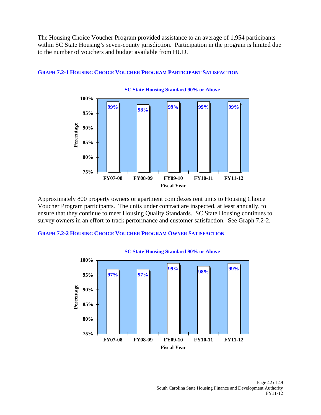The Housing Choice Voucher Program provided assistance to an average of 1,954 participants within SC State Housing's seven-county jurisdiction. Participation in the program is limited due to the number of vouchers and budget available from HUD.



#### **GRAPH 7.2-1 HOUSING CHOICE VOUCHER PROGRAM PARTICIPANT SATISFACTION**

Approximately 800 property owners or apartment complexes rent units to Housing Choice Voucher Program participants. The units under contract are inspected, at least annually, to ensure that they continue to meet Housing Quality Standards. SC State Housing continues to survey owners in an effort to track performance and customer satisfaction. See Graph 7.2-2.

**GRAPH 7.2-2 HOUSING CHOICE VOUCHER PROGRAM OWNER SATISFACTION**

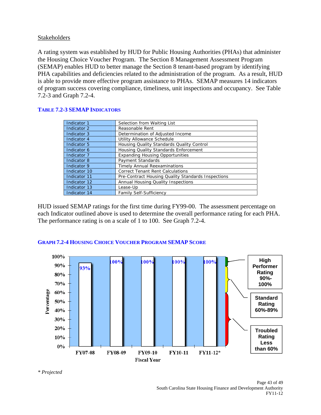#### Stakeholders

A rating system was established by HUD for Public Housing Authorities (PHAs) that administer the Housing Choice Voucher Program. The Section 8 Management Assessment Program (SEMAP) enables HUD to better manage the Section 8 tenant-based program by identifying PHA capabilities and deficiencies related to the administration of the program. As a result, HUD is able to provide more effective program assistance to PHAs. SEMAP measures 14 indicators of program success covering compliance, timeliness, unit inspections and occupancy. See Table 7.2-3 and Graph 7.2-4.

| Indicator 1  | Selection from Waiting List                        |
|--------------|----------------------------------------------------|
| Indicator 2  | Reasonable Rent                                    |
| Indicator 3  | Determination of Adjusted Income                   |
| Indicator 4  | Utility Allowance Schedule                         |
| Indicator 5  | Housing Quality Standards Quality Control          |
| Indicator 6  | Housing Quality Standards Enforcement              |
| Indicator 7  | <b>Expanding Housing Opportunities</b>             |
| Indicator 8  | Payment Standards                                  |
| Indicator 9  | <b>Timely Annual Reexaminations</b>                |
| Indicator 10 | <b>Correct Tenant Rent Calculations</b>            |
| Indicator 11 | Pre-Contract Housing Quality Standards Inspections |
| Indicator 12 | Annual Housing Quality Inspections                 |
| Indicator 13 | Lease-Up                                           |
| Indicator 14 | <b>Family Self-Sufficiency</b>                     |

#### **TABLE 7.2-3 SEMAP INDICATORS**

HUD issued SEMAP ratings for the first time during FY99-00. The assessment percentage on each Indicator outlined above is used to determine the overall performance rating for each PHA. The performance rating is on a scale of 1 to 100. See Graph 7.2-4.



#### **GRAPH 7.2-4 HOUSING CHOICE VOUCHER PROGRAM SEMAP SCORE**

*\* Projected*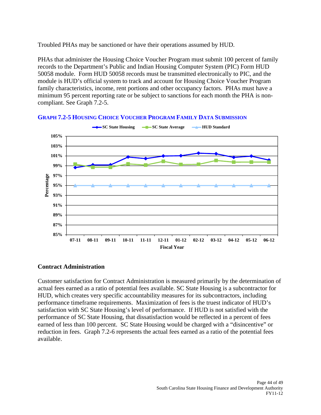Troubled PHAs may be sanctioned or have their operations assumed by HUD.

PHAs that administer the Housing Choice Voucher Program must submit 100 percent of family records to the Department's Public and Indian Housing Computer System (PIC) Form HUD 50058 module. Form HUD 50058 records must be transmitted electronically to PIC, and the module is HUD's official system to track and account for Housing Choice Voucher Program family characteristics, income, rent portions and other occupancy factors. PHAs must have a minimum 95 percent reporting rate or be subject to sanctions for each month the PHA is noncompliant. See Graph 7.2-5.



**GRAPH 7.2-5 HOUSING CHOICE VOUCHER PROGRAM FAMILY DATA SUBMISSION**

#### **Contract Administration**

Customer satisfaction for Contract Administration is measured primarily by the determination of actual fees earned as a ratio of potential fees available. SC State Housing is a subcontractor for HUD, which creates very specific accountability measures for its subcontractors, including performance timeframe requirements. Maximization of fees is the truest indicator of HUD's satisfaction with SC State Housing's level of performance. If HUD is not satisfied with the performance of SC State Housing, that dissatisfaction would be reflected in a percent of fees earned of less than 100 percent. SC State Housing would be charged with a "disincentive" or reduction in fees. Graph 7.2-6 represents the actual fees earned as a ratio of the potential fees available.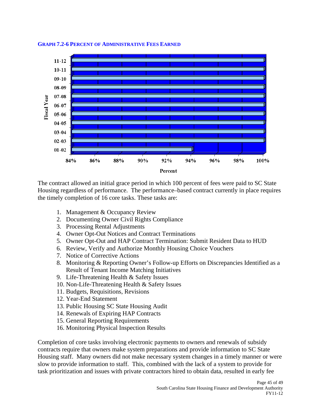

#### **GRAPH 7.2-6 PERCENT OF ADMINISTRATIVE FEES EARNED**

The contract allowed an initial grace period in which 100 percent of fees were paid to SC State Housing regardless of performance. The performance–based contract currently in place requires the timely completion of 16 core tasks. These tasks are:

- 1. Management & Occupancy Review
- 2. Documenting Owner Civil Rights Compliance
- 3. Processing Rental Adjustments
- 4. Owner Opt-Out Notices and Contract Terminations
- 5. Owner Opt-Out and HAP Contract Termination: Submit Resident Data to HUD
- 6. Review, Verify and Authorize Monthly Housing Choice Vouchers
- 7. Notice of Corrective Actions
- 8. Monitoring & Reporting Owner's Follow-up Efforts on Discrepancies Identified as a Result of Tenant Income Matching Initiatives
- 9. Life-Threatening Health & Safety Issues
- 10. Non-Life-Threatening Health & Safety Issues
- 11. Budgets, Requisitions, Revisions
- 12. Year-End Statement
- 13. Public Housing SC State Housing Audit
- 14. Renewals of Expiring HAP Contracts
- 15. General Reporting Requirements
- 16. Monitoring Physical Inspection Results

Completion of core tasks involving electronic payments to owners and renewals of subsidy contracts require that owners make system preparations and provide information to SC State Housing staff. Many owners did not make necessary system changes in a timely manner or were slow to provide information to staff. This, combined with the lack of a system to provide for task prioritization and issues with private contractors hired to obtain data, resulted in early fee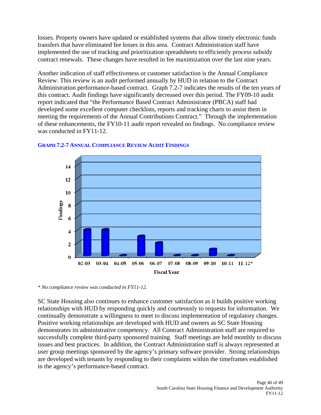losses. Property owners have updated or established systems that allow timely electronic funds transfers that have eliminated fee losses in this area. Contract Administration staff have implemented the use of tracking and prioritization spreadsheets to efficiently process subsidy contract renewals. These changes have resulted in fee maximization over the last nine years.

Another indication of staff effectiveness or customer satisfaction is the Annual Compliance Review. This review is an audit performed annually by HUD in relation to the Contract Administration performance-based contract. Graph 7.2-7 indicates the results of the ten years of this contract. Audit findings have significantly decreased over this period. The FY09-10 audit report indicated that "the Performance Based Contract Administrator (PBCA) staff had developed some excellent computer checklists, reports and tracking charts to assist them in meeting the requirements of the Annual Contributions Contract." Through the implementation of these enhancements, the FY10-11 audit report revealed no findings. No compliance review was conducted in FY11-12.



#### **GRAPH 7.2-7 ANNUAL COMPLIANCE REVIEW AUDIT FINDINGS**

*\* No compliance review was conducted in FY11-12.* 

SC State Housing also continues to enhance customer satisfaction as it builds positive working relationships with HUD by responding quickly and courteously to requests for information. We continually demonstrate a willingness to meet to discuss implementation of regulatory changes. Positive working relationships are developed with HUD and owners as SC State Housing demonstrates its administrative competency. All Contract Administration staff are required to successfully complete third-party sponsored training. Staff meetings are held monthly to discuss issues and best practices. In addition, the Contract Administration staff is always represented at user group meetings sponsored by the agency's primary software provider. Strong relationships are developed with tenants by responding to their complaints within the timeframes established in the agency's performance-based contract.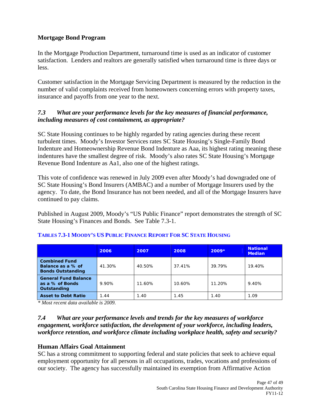#### **Mortgage Bond Program**

In the Mortgage Production Department, turnaround time is used as an indicator of customer satisfaction. Lenders and realtors are generally satisfied when turnaround time is three days or less.

Customer satisfaction in the Mortgage Servicing Department is measured by the reduction in the number of valid complaints received from homeowners concerning errors with property taxes, insurance and payoffs from one year to the next.

#### *7.3 What are your performance levels for the key measures of financial performance, including measures of cost containment, as appropriate?*

SC State Housing continues to be highly regarded by rating agencies during these recent turbulent times. Moody's Investor Services rates SC State Housing's Single-Family Bond Indenture and Homeownership Revenue Bond Indenture as Aaa, its highest rating meaning these indentures have the smallest degree of risk. Moody's also rates SC State Housing's Mortgage Revenue Bond Indenture as Aa1, also one of the highest ratings.

This vote of confidence was renewed in July 2009 even after Moody's had downgraded one of SC State Housing's Bond Insurers (AMBAC) and a number of Mortgage Insurers used by the agency. To date, the Bond Insurance has not been needed, and all of the Mortgage Insurers have continued to pay claims.

Published in August 2009, Moody's "US Public Finance" report demonstrates the strength of SC State Housing's Finances and Bonds. See Table 7.3-1.

|                                                                       | 2006   | 2007   | 2008   | $2009*$ | <b>National</b><br><b>Median</b> |
|-----------------------------------------------------------------------|--------|--------|--------|---------|----------------------------------|
| <b>Combined Fund</b><br>Balance as a % of<br><b>Bonds Outstanding</b> | 41.30% | 40.50% | 37.41% | 39.79%  | 19.40%                           |
| <b>General Fund Balance</b><br>as a % of Bonds<br>Outstanding         | 9.90%  | 11.60% | 10.60% | 11.20%  | 9.40%                            |
| <b>Asset to Debt Ratio</b>                                            | 1.44   | 1.40   | 1.45   | 1.40    | 1.09                             |

#### **TABLES 7.3-1 MOODY'S US PUBLIC FINANCE REPORT FOR SC STATE HOUSING**

*\* Most recent data available is 2009.* 

#### *7.4 What are your performance levels and trends for the key measures of workforce engagement, workforce satisfaction, the development of your workforce, including leaders, workforce retention, and workforce climate including workplace health, safety and security?*

#### **Human Affairs Goal Attainment**

SC has a strong commitment to supporting federal and state policies that seek to achieve equal employment opportunity for all persons in all occupations, trades, vocations and professions of our society. The agency has successfully maintained its exemption from Affirmative Action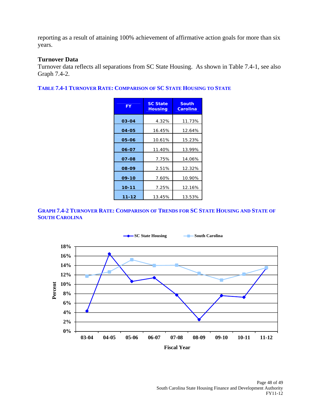reporting as a result of attaining 100% achievement of affirmative action goals for more than six years.

#### **Turnover Data**

Turnover data reflects all separations from SC State Housing. As shown in Table 7.4-1, see also Graph 7.4-2.

**TABLE 7.4-1 TURNOVER RATE: COMPARISON OF SC STATE HOUSING TO STATE**

| <b>FY</b> | <b>SC State</b><br><b>Housing</b> | <b>South</b><br><b>Carolina</b> |
|-----------|-----------------------------------|---------------------------------|
| 03-04     | 4.32%                             | 11.73%                          |
| 04-05     | 16.45%                            | 12.64%                          |
| 05-06     | 10.61%                            | 15.23%                          |
| 06-07     | 11.40%                            | 13.99%                          |
| 07-08     | 7.75%                             | 14.06%                          |
| 08-09     | 2.51%                             | 12.32%                          |
| 09-10     | 7.60%                             | 10.90%                          |
| $10 - 11$ | 7.25%                             | 12.16%                          |
| $11 - 12$ | 13.45%                            | 13.53%                          |

#### **GRAPH 7.4-2 TURNOVER RATE: COMPARISON OF TRENDS FOR SC STATE HOUSING AND STATE OF SOUTH CAROLINA**